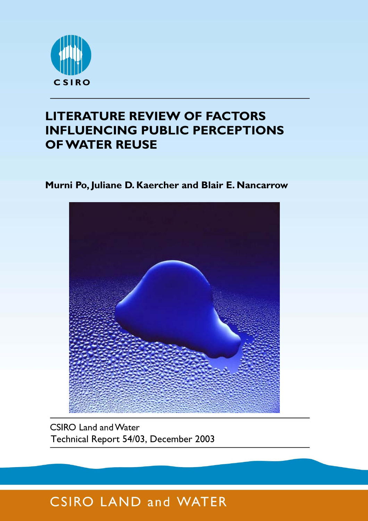

## **LITERATURE REVIEW OF FACTORS INFLUENCING PUBLIC PERCEPTIONS OF WATER REUSE**

### **Murni Po, Juliane D. Kaercher and Blair E. Nancarrow**



**CSIRO Land and Water** Technical Report 54/03, December 2003

# **CSIRO LAND and WATER**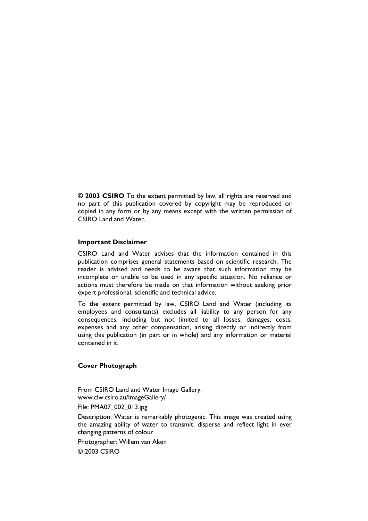**© 2003 CSIRO** To the extent permitted by law, all rights are reserved and no part of this publication covered by copyright may be reproduced or copied in any form or by any means except with the written permission of CSIRO Land and Water.

#### **Important Disclaimer**

CSIRO Land and Water advises that the information contained in this publication comprises general statements based on scientific research. The reader is advised and needs to be aware that such information may be incomplete or unable to be used in any specific situation. No reliance or actions must therefore be made on that information without seeking prior expert professional, scientific and technical advice.

To the extent permitted by law, CSIRO Land and Water (including its employees and consultants) excludes all liability to any person for any consequences, including but not limited to all losses, damages, costs, expenses and any other compensation, arising directly or indirectly from using this publication (in part or in whole) and any information or material contained in it.

#### **Cover Photograph**

From CSIRO Land and Water Image Gallery: www.clw.csiro.au/ImageGallery/

File: PMA07\_002\_013.jpg

Description: Water is remarkably photogenic. This image was created using the amazing ability of water to transmit, disperse and reflect light in ever changing patterns of colour

Photographer: Willem van Aken

© 2003 CSIRO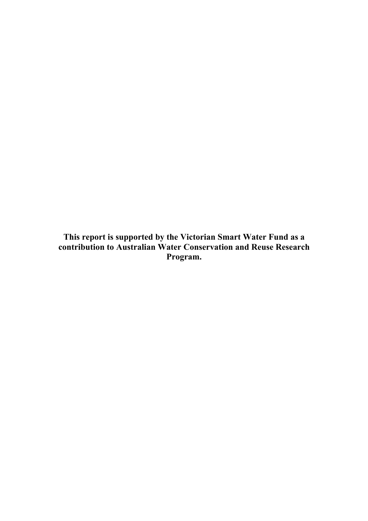**This report is supported by the Victorian Smart Water Fund as a contribution to Australian Water Conservation and Reuse Research Program.**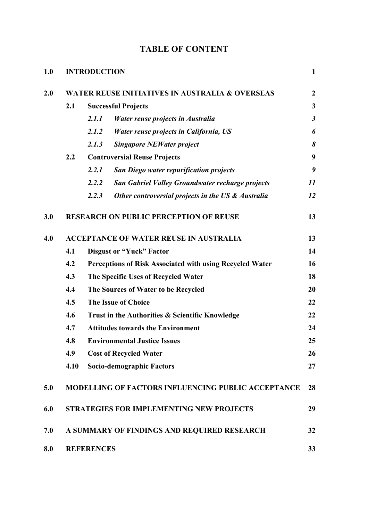| 1.0 | <b>INTRODUCTION</b>                                        |                                                          |                                                    |                |  |  |  |  |  |  |
|-----|------------------------------------------------------------|----------------------------------------------------------|----------------------------------------------------|----------------|--|--|--|--|--|--|
| 2.0 | <b>WATER REUSE INITIATIVES IN AUSTRALIA &amp; OVERSEAS</b> |                                                          |                                                    |                |  |  |  |  |  |  |
|     | 2.1                                                        | <b>Successful Projects</b>                               |                                                    |                |  |  |  |  |  |  |
|     |                                                            | 2.1.1                                                    | Water reuse projects in Australia                  | $\mathfrak{z}$ |  |  |  |  |  |  |
|     |                                                            | 2.1.2                                                    | Water reuse projects in California, US             | 6              |  |  |  |  |  |  |
|     |                                                            | 2.1.3                                                    | <b>Singapore NEWater project</b>                   | 8              |  |  |  |  |  |  |
|     | 2.2                                                        | <b>Controversial Reuse Projects</b>                      | 9                                                  |                |  |  |  |  |  |  |
|     |                                                            | 2.2.1                                                    | <b>San Diego water repurification projects</b>     | 9              |  |  |  |  |  |  |
|     |                                                            | 2.2.2                                                    | San Gabriel Valley Groundwater recharge projects   | 11             |  |  |  |  |  |  |
|     |                                                            | 2.2.3                                                    | Other controversial projects in the US & Australia | 12             |  |  |  |  |  |  |
| 3.0 |                                                            |                                                          | <b>RESEARCH ON PUBLIC PERCEPTION OF REUSE</b>      | 13             |  |  |  |  |  |  |
| 4.0 | <b>ACCEPTANCE OF WATER REUSE IN AUSTRALIA</b>              |                                                          |                                                    |                |  |  |  |  |  |  |
|     | 4.1                                                        | <b>Disgust or "Yuck" Factor</b>                          |                                                    |                |  |  |  |  |  |  |
|     | 4.2                                                        | Perceptions of Risk Associated with using Recycled Water |                                                    |                |  |  |  |  |  |  |
|     | 4.3                                                        | The Specific Uses of Recycled Water                      |                                                    |                |  |  |  |  |  |  |
|     | 4.4                                                        | The Sources of Water to be Recycled                      |                                                    |                |  |  |  |  |  |  |
|     | 4.5                                                        | <b>The Issue of Choice</b>                               |                                                    |                |  |  |  |  |  |  |
|     | 4.6                                                        | Trust in the Authorities & Scientific Knowledge          |                                                    |                |  |  |  |  |  |  |
|     | 4.7                                                        | <b>Attitudes towards the Environment</b>                 |                                                    |                |  |  |  |  |  |  |
|     | 4.8                                                        | <b>Environmental Justice Issues</b>                      |                                                    |                |  |  |  |  |  |  |
|     | 4.9                                                        | <b>Cost of Recycled Water</b>                            |                                                    |                |  |  |  |  |  |  |
|     | 4.10                                                       | Socio-demographic Factors                                |                                                    |                |  |  |  |  |  |  |
| 5.0 | MODELLING OF FACTORS INFLUENCING PUBLIC ACCEPTANCE         |                                                          |                                                    |                |  |  |  |  |  |  |
| 6.0 |                                                            |                                                          | <b>STRATEGIES FOR IMPLEMENTING NEW PROJECTS</b>    | 29             |  |  |  |  |  |  |
| 7.0 |                                                            | A SUMMARY OF FINDINGS AND REQUIRED RESEARCH<br>32        |                                                    |                |  |  |  |  |  |  |
| 8.0 | <b>REFERENCES</b>                                          |                                                          |                                                    |                |  |  |  |  |  |  |

### **TABLE OF CONTENT**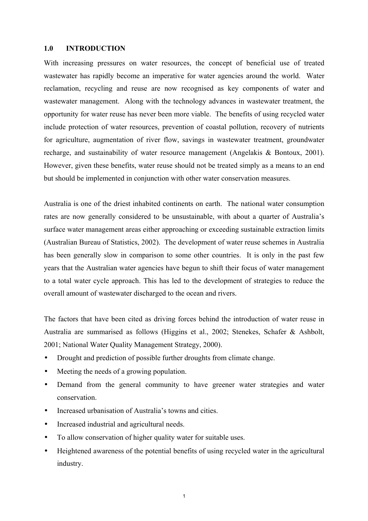#### **1.0 INTRODUCTION**

With increasing pressures on water resources, the concept of beneficial use of treated wastewater has rapidly become an imperative for water agencies around the world. Water reclamation, recycling and reuse are now recognised as key components of water and wastewater management. Along with the technology advances in wastewater treatment, the opportunity for water reuse has never been more viable. The benefits of using recycled water include protection of water resources, prevention of coastal pollution, recovery of nutrients for agriculture, augmentation of river flow, savings in wastewater treatment, groundwater recharge, and sustainability of water resource management (Angelakis & Bontoux, 2001). However, given these benefits, water reuse should not be treated simply as a means to an end but should be implemented in conjunction with other water conservation measures.

Australia is one of the driest inhabited continents on earth. The national water consumption rates are now generally considered to be unsustainable, with about a quarter of Australia's surface water management areas either approaching or exceeding sustainable extraction limits (Australian Bureau of Statistics, 2002). The development of water reuse schemes in Australia has been generally slow in comparison to some other countries. It is only in the past few years that the Australian water agencies have begun to shift their focus of water management to a total water cycle approach. This has led to the development of strategies to reduce the overall amount of wastewater discharged to the ocean and rivers.

The factors that have been cited as driving forces behind the introduction of water reuse in Australia are summarised as follows (Higgins et al., 2002; Stenekes, Schafer & Ashbolt, 2001; National Water Quality Management Strategy, 2000).

- Drought and prediction of possible further droughts from climate change.
- Meeting the needs of a growing population.
- Demand from the general community to have greener water strategies and water conservation.
- Increased urbanisation of Australia's towns and cities.
- Increased industrial and agricultural needs.
- To allow conservation of higher quality water for suitable uses.
- Heightened awareness of the potential benefits of using recycled water in the agricultural industry.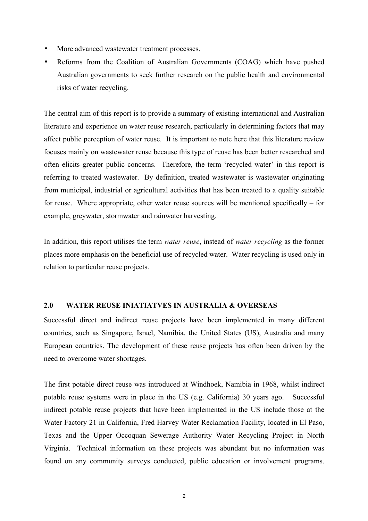- More advanced wastewater treatment processes.
- Reforms from the Coalition of Australian Governments (COAG) which have pushed Australian governments to seek further research on the public health and environmental risks of water recycling.

The central aim of this report is to provide a summary of existing international and Australian literature and experience on water reuse research, particularly in determining factors that may affect public perception of water reuse. It is important to note here that this literature review focuses mainly on wastewater reuse because this type of reuse has been better researched and often elicits greater public concerns. Therefore, the term 'recycled water' in this report is referring to treated wastewater. By definition, treated wastewater is wastewater originating from municipal, industrial or agricultural activities that has been treated to a quality suitable for reuse. Where appropriate, other water reuse sources will be mentioned specifically – for example, greywater, stormwater and rainwater harvesting.

In addition, this report utilises the term *water reuse*, instead of *water recycling* as the former places more emphasis on the beneficial use of recycled water. Water recycling is used only in relation to particular reuse projects.

#### **2.0 WATER REUSE INIATIATVES IN AUSTRALIA & OVERSEAS**

Successful direct and indirect reuse projects have been implemented in many different countries, such as Singapore, Israel, Namibia, the United States (US), Australia and many European countries. The development of these reuse projects has often been driven by the need to overcome water shortages.

The first potable direct reuse was introduced at Windhoek, Namibia in 1968, whilst indirect potable reuse systems were in place in the US (e.g. California) 30 years ago. Successful indirect potable reuse projects that have been implemented in the US include those at the Water Factory 21 in California, Fred Harvey Water Reclamation Facility, located in El Paso, Texas and the Upper Occoquan Sewerage Authority Water Recycling Project in North Virginia. Technical information on these projects was abundant but no information was found on any community surveys conducted, public education or involvement programs.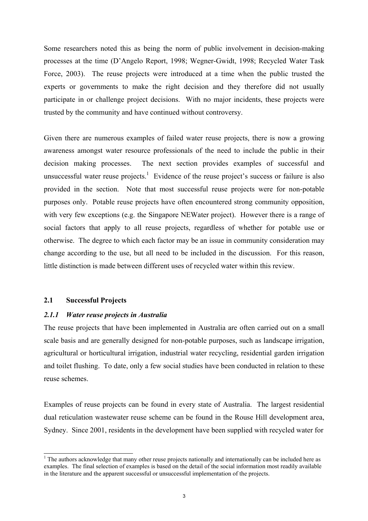Some researchers noted this as being the norm of public involvement in decision-making processes at the time (D'Angelo Report, 1998; Wegner-Gwidt, 1998; Recycled Water Task Force, 2003). The reuse projects were introduced at a time when the public trusted the experts or governments to make the right decision and they therefore did not usually participate in or challenge project decisions. With no major incidents, these projects were trusted by the community and have continued without controversy.

Given there are numerous examples of failed water reuse projects, there is now a growing awareness amongst water resource professionals of the need to include the public in their decision making processes. The next section provides examples of successful and unsuccessful water reuse projects.<sup>1</sup> Evidence of the reuse project's success or failure is also provided in the section. Note that most successful reuse projects were for non-potable purposes only. Potable reuse projects have often encountered strong community opposition, with very few exceptions (e.g. the Singapore NEWater project). However there is a range of social factors that apply to all reuse projects, regardless of whether for potable use or otherwise. The degree to which each factor may be an issue in community consideration may change according to the use, but all need to be included in the discussion. For this reason, little distinction is made between different uses of recycled water within this review.

#### **2.1 Successful Projects**

 $\overline{a}$ 

#### *2.1.1 Water reuse projects in Australia*

The reuse projects that have been implemented in Australia are often carried out on a small scale basis and are generally designed for non-potable purposes, such as landscape irrigation, agricultural or horticultural irrigation, industrial water recycling, residential garden irrigation and toilet flushing. To date, only a few social studies have been conducted in relation to these reuse schemes.

Examples of reuse projects can be found in every state of Australia. The largest residential dual reticulation wastewater reuse scheme can be found in the Rouse Hill development area, Sydney. Since 2001, residents in the development have been supplied with recycled water for

<sup>&</sup>lt;sup>1</sup> The authors acknowledge that many other reuse projects nationally and internationally can be included here as examples. The final selection of examples is based on the detail of the social information most readily available in the literature and the apparent successful or unsuccessful implementation of the projects.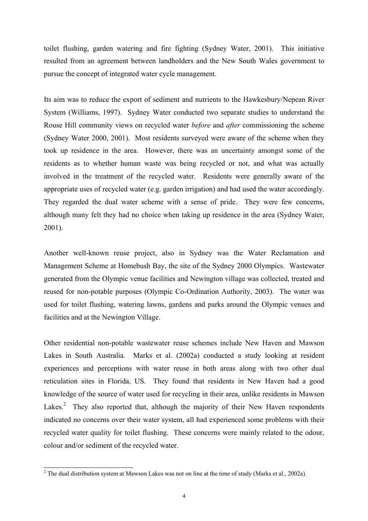toilet flushing, garden watering and fire fighting (Sydney Water, 2001). This initiative resulted from an agreement between landholders and the New South Wales government to pursue the concept of integrated water cycle management.

Its aim was to reduce the export of sediment and nutrients to the Hawkesbury/Nepean River System (Williams, 1997). Sydney Water conducted two separate studies to understand the Rouse Hill community views on recycled water *before* and *after* commissioning the scheme (Sydney Water 2000, 2001). Most residents surveyed were aware of the scheme when they took up residence in the area. However, there was an uncertainty amongst some of the residents as to whether human waste was being recycled or not, and what was actually involved in the treatment of the recycled water. Residents were generally aware of the appropriate uses of recycled water (e.g. garden irrigation) and had used the water accordingly. They regarded the dual water scheme with a sense of pride. They were few concerns, although many felt they had no choice when taking up residence in the area (Sydney Water, 2001).

Another well-known reuse project, also in Sydney was the Water Reclamation and Management Scheme at Homebush Bay, the site of the Sydney 2000 Olympics. Wastewater generated from the Olympic venue facilities and Newington village was collected, treated and reused for non-potable purposes (Olympic Co-Ordination Authority, 2003). The water was used for toilet flushing, watering lawns, gardens and parks around the Olympic venues and facilities and at the Newington Village.

Other residential non-potable wastewater reuse schemes include New Haven and Mawson Lakes in South Australia. Marks et al. (2002a) conducted a study looking at resident experiences and perceptions with water reuse in both areas along with two other dual reticulation sites in Florida, US. They found that residents in New Haven had a good knowledge of the source of water used for recycling in their area, unlike residents in Mawson Lakes.<sup>2</sup> They also reported that, although the majority of their New Haven respondents indicated no concerns over their water system, all had experienced some problems with their recycled water quality for toilet flushing. These concerns were mainly related to the odour, colour and/or sediment of the recycled water.

<sup>&</sup>lt;sup>2</sup> The dual distribution system at Mawson Lakes was not on line at the time of study (Marks et al., 2002a).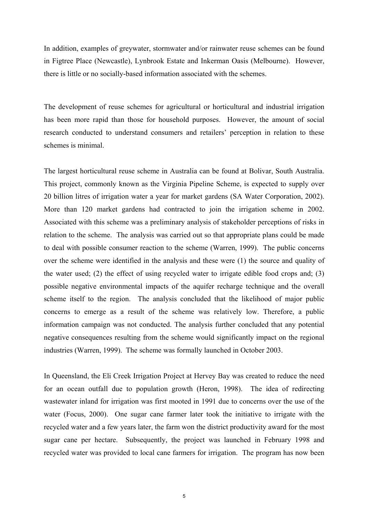In addition, examples of greywater, stormwater and/or rainwater reuse schemes can be found in Figtree Place (Newcastle), Lynbrook Estate and Inkerman Oasis (Melbourne). However, there is little or no socially-based information associated with the schemes.

The development of reuse schemes for agricultural or horticultural and industrial irrigation has been more rapid than those for household purposes. However, the amount of social research conducted to understand consumers and retailers' perception in relation to these schemes is minimal.

The largest horticultural reuse scheme in Australia can be found at Bolivar, South Australia. This project, commonly known as the Virginia Pipeline Scheme, is expected to supply over 20 billion litres of irrigation water a year for market gardens (SA Water Corporation, 2002). More than 120 market gardens had contracted to join the irrigation scheme in 2002. Associated with this scheme was a preliminary analysis of stakeholder perceptions of risks in relation to the scheme. The analysis was carried out so that appropriate plans could be made to deal with possible consumer reaction to the scheme (Warren, 1999). The public concerns over the scheme were identified in the analysis and these were (1) the source and quality of the water used; (2) the effect of using recycled water to irrigate edible food crops and; (3) possible negative environmental impacts of the aquifer recharge technique and the overall scheme itself to the region. The analysis concluded that the likelihood of major public concerns to emerge as a result of the scheme was relatively low. Therefore, a public information campaign was not conducted. The analysis further concluded that any potential negative consequences resulting from the scheme would significantly impact on the regional industries (Warren, 1999). The scheme was formally launched in October 2003.

In Queensland, the Eli Creek Irrigation Project at Hervey Bay was created to reduce the need for an ocean outfall due to population growth (Heron, 1998). The idea of redirecting wastewater inland for irrigation was first mooted in 1991 due to concerns over the use of the water (Focus, 2000). One sugar cane farmer later took the initiative to irrigate with the recycled water and a few years later, the farm won the district productivity award for the most sugar cane per hectare. Subsequently, the project was launched in February 1998 and recycled water was provided to local cane farmers for irrigation. The program has now been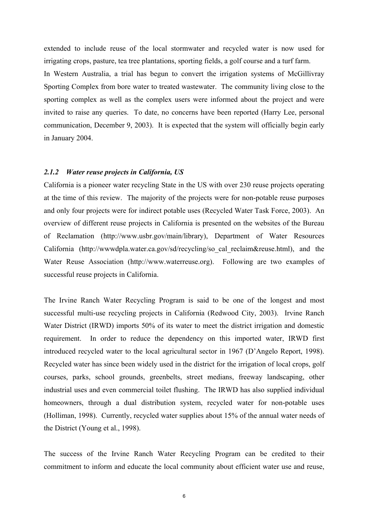extended to include reuse of the local stormwater and recycled water is now used for irrigating crops, pasture, tea tree plantations, sporting fields, a golf course and a turf farm. In Western Australia, a trial has begun to convert the irrigation systems of McGillivray Sporting Complex from bore water to treated wastewater. The community living close to the sporting complex as well as the complex users were informed about the project and were invited to raise any queries. To date, no concerns have been reported (Harry Lee, personal communication, December 9, 2003). It is expected that the system will officially begin early in January 2004.

#### *2.1.2 Water reuse projects in California, US*

California is a pioneer water recycling State in the US with over 230 reuse projects operating at the time of this review. The majority of the projects were for non-potable reuse purposes and only four projects were for indirect potable uses (Recycled Water Task Force, 2003). An overview of different reuse projects in California is presented on the websites of the Bureau of Reclamation (http://www.usbr.gov/main/library), Department of Water Resources California (http://wwwdpla.water.ca.gov/sd/recycling/so\_cal\_reclaim&reuse.html), and the Water Reuse Association (http://www.waterreuse.org). Following are two examples of successful reuse projects in California.

The Irvine Ranch Water Recycling Program is said to be one of the longest and most successful multi-use recycling projects in California (Redwood City, 2003). Irvine Ranch Water District (IRWD) imports 50% of its water to meet the district irrigation and domestic requirement. In order to reduce the dependency on this imported water, IRWD first introduced recycled water to the local agricultural sector in 1967 (D'Angelo Report, 1998). Recycled water has since been widely used in the district for the irrigation of local crops, golf courses, parks, school grounds, greenbelts, street medians, freeway landscaping, other industrial uses and even commercial toilet flushing. The IRWD has also supplied individual homeowners, through a dual distribution system, recycled water for non-potable uses (Holliman, 1998). Currently, recycled water supplies about 15% of the annual water needs of the District (Young et al., 1998).

The success of the Irvine Ranch Water Recycling Program can be credited to their commitment to inform and educate the local community about efficient water use and reuse,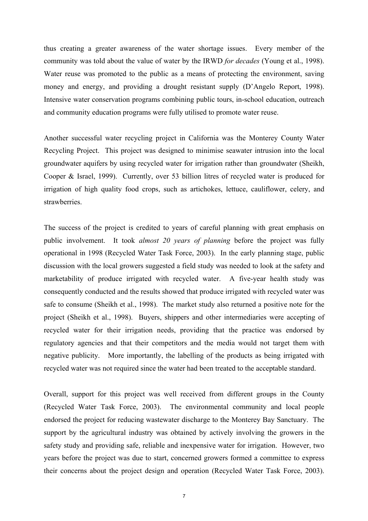thus creating a greater awareness of the water shortage issues. Every member of the community was told about the value of water by the IRWD *for decades* (Young et al., 1998). Water reuse was promoted to the public as a means of protecting the environment, saving money and energy, and providing a drought resistant supply (D'Angelo Report, 1998). Intensive water conservation programs combining public tours, in-school education, outreach and community education programs were fully utilised to promote water reuse.

Another successful water recycling project in California was the Monterey County Water Recycling Project. This project was designed to minimise seawater intrusion into the local groundwater aquifers by using recycled water for irrigation rather than groundwater (Sheikh, Cooper & Israel, 1999). Currently, over 53 billion litres of recycled water is produced for irrigation of high quality food crops, such as artichokes, lettuce, cauliflower, celery, and strawberries.

The success of the project is credited to years of careful planning with great emphasis on public involvement. It took *almost 20 years of planning* before the project was fully operational in 1998 (Recycled Water Task Force, 2003). In the early planning stage, public discussion with the local growers suggested a field study was needed to look at the safety and marketability of produce irrigated with recycled water. A five-year health study was consequently conducted and the results showed that produce irrigated with recycled water was safe to consume (Sheikh et al., 1998). The market study also returned a positive note for the project (Sheikh et al., 1998). Buyers, shippers and other intermediaries were accepting of recycled water for their irrigation needs, providing that the practice was endorsed by regulatory agencies and that their competitors and the media would not target them with negative publicity. More importantly, the labelling of the products as being irrigated with recycled water was not required since the water had been treated to the acceptable standard.

Overall, support for this project was well received from different groups in the County (Recycled Water Task Force, 2003). The environmental community and local people endorsed the project for reducing wastewater discharge to the Monterey Bay Sanctuary. The support by the agricultural industry was obtained by actively involving the growers in the safety study and providing safe, reliable and inexpensive water for irrigation. However, two years before the project was due to start, concerned growers formed a committee to express their concerns about the project design and operation (Recycled Water Task Force, 2003).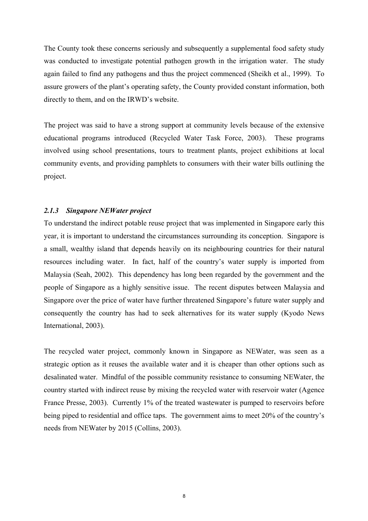The County took these concerns seriously and subsequently a supplemental food safety study was conducted to investigate potential pathogen growth in the irrigation water. The study again failed to find any pathogens and thus the project commenced (Sheikh et al., 1999). To assure growers of the plant's operating safety, the County provided constant information, both directly to them, and on the IRWD's website.

The project was said to have a strong support at community levels because of the extensive educational programs introduced (Recycled Water Task Force, 2003). These programs involved using school presentations, tours to treatment plants, project exhibitions at local community events, and providing pamphlets to consumers with their water bills outlining the project.

#### *2.1.3 Singapore NEWater project*

To understand the indirect potable reuse project that was implemented in Singapore early this year, it is important to understand the circumstances surrounding its conception. Singapore is a small, wealthy island that depends heavily on its neighbouring countries for their natural resources including water. In fact, half of the country's water supply is imported from Malaysia (Seah, 2002). This dependency has long been regarded by the government and the people of Singapore as a highly sensitive issue. The recent disputes between Malaysia and Singapore over the price of water have further threatened Singapore's future water supply and consequently the country has had to seek alternatives for its water supply (Kyodo News International, 2003).

The recycled water project, commonly known in Singapore as NEWater, was seen as a strategic option as it reuses the available water and it is cheaper than other options such as desalinated water. Mindful of the possible community resistance to consuming NEWater, the country started with indirect reuse by mixing the recycled water with reservoir water (Agence France Presse, 2003). Currently 1% of the treated wastewater is pumped to reservoirs before being piped to residential and office taps. The government aims to meet 20% of the country's needs from NEWater by 2015 (Collins, 2003).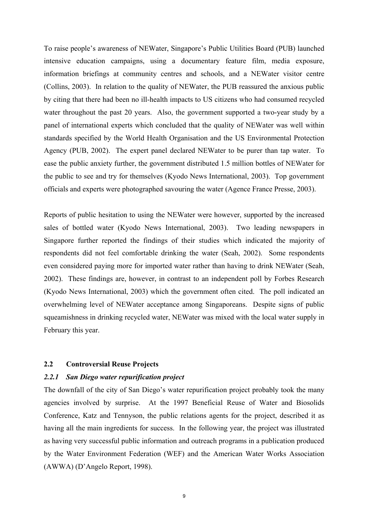To raise people's awareness of NEWater, Singapore's Public Utilities Board (PUB) launched intensive education campaigns, using a documentary feature film, media exposure, information briefings at community centres and schools, and a NEWater visitor centre (Collins, 2003). In relation to the quality of NEWater, the PUB reassured the anxious public by citing that there had been no ill-health impacts to US citizens who had consumed recycled water throughout the past 20 years. Also, the government supported a two-year study by a panel of international experts which concluded that the quality of NEWater was well within standards specified by the World Health Organisation and the US Environmental Protection Agency (PUB, 2002). The expert panel declared NEWater to be purer than tap water. To ease the public anxiety further, the government distributed 1.5 million bottles of NEWater for the public to see and try for themselves (Kyodo News International, 2003). Top government officials and experts were photographed savouring the water (Agence France Presse, 2003).

Reports of public hesitation to using the NEWater were however, supported by the increased sales of bottled water (Kyodo News International, 2003). Two leading newspapers in Singapore further reported the findings of their studies which indicated the majority of respondents did not feel comfortable drinking the water (Seah, 2002). Some respondents even considered paying more for imported water rather than having to drink NEWater (Seah, 2002). These findings are, however, in contrast to an independent poll by Forbes Research (Kyodo News International, 2003) which the government often cited. The poll indicated an overwhelming level of NEWater acceptance among Singaporeans. Despite signs of public squeamishness in drinking recycled water, NEWater was mixed with the local water supply in February this year.

#### **2.2 Controversial Reuse Projects**

#### *2.2.1 San Diego water repurification project*

The downfall of the city of San Diego's water repurification project probably took the many agencies involved by surprise. At the 1997 Beneficial Reuse of Water and Biosolids Conference, Katz and Tennyson, the public relations agents for the project, described it as having all the main ingredients for success. In the following year, the project was illustrated as having very successful public information and outreach programs in a publication produced by the Water Environment Federation (WEF) and the American Water Works Association (AWWA) (D'Angelo Report, 1998).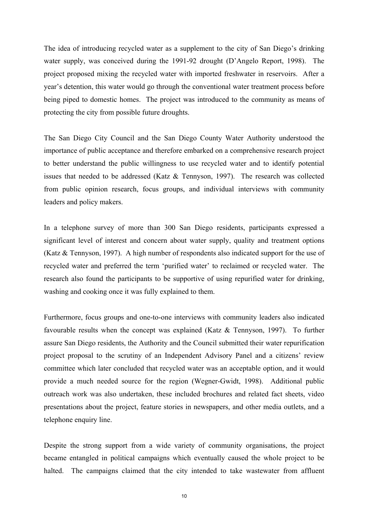The idea of introducing recycled water as a supplement to the city of San Diego's drinking water supply, was conceived during the 1991-92 drought (D'Angelo Report, 1998). The project proposed mixing the recycled water with imported freshwater in reservoirs. After a year's detention, this water would go through the conventional water treatment process before being piped to domestic homes. The project was introduced to the community as means of protecting the city from possible future droughts.

The San Diego City Council and the San Diego County Water Authority understood the importance of public acceptance and therefore embarked on a comprehensive research project to better understand the public willingness to use recycled water and to identify potential issues that needed to be addressed (Katz & Tennyson, 1997). The research was collected from public opinion research, focus groups, and individual interviews with community leaders and policy makers.

In a telephone survey of more than 300 San Diego residents, participants expressed a significant level of interest and concern about water supply, quality and treatment options (Katz & Tennyson, 1997). A high number of respondents also indicated support for the use of recycled water and preferred the term 'purified water' to reclaimed or recycled water. The research also found the participants to be supportive of using repurified water for drinking, washing and cooking once it was fully explained to them.

Furthermore, focus groups and one-to-one interviews with community leaders also indicated favourable results when the concept was explained (Katz & Tennyson, 1997). To further assure San Diego residents, the Authority and the Council submitted their water repurification project proposal to the scrutiny of an Independent Advisory Panel and a citizens' review committee which later concluded that recycled water was an acceptable option, and it would provide a much needed source for the region (Wegner-Gwidt, 1998). Additional public outreach work was also undertaken, these included brochures and related fact sheets, video presentations about the project, feature stories in newspapers, and other media outlets, and a telephone enquiry line.

Despite the strong support from a wide variety of community organisations, the project became entangled in political campaigns which eventually caused the whole project to be halted. The campaigns claimed that the city intended to take wastewater from affluent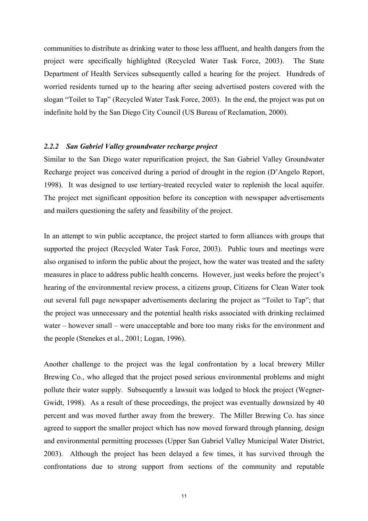communities to distribute as drinking water to those less affluent, and health dangers from the project were specifically highlighted (Recycled Water Task Force, 2003). The State Department of Health Services subsequently called a hearing for the project. Hundreds of worried residents turned up to the hearing after seeing advertised posters covered with the slogan "Toilet to Tap" (Recycled Water Task Force, 2003). In the end, the project was put on indefinite hold by the San Diego City Council (US Bureau of Reclamation, 2000).

#### *2.2.2 San Gabriel Valley groundwater recharge project*

Similar to the San Diego water repurification project, the San Gabriel Valley Groundwater Recharge project was conceived during a period of drought in the region (D'Angelo Report, 1998). It was designed to use tertiary-treated recycled water to replenish the local aquifer. The project met significant opposition before its conception with newspaper advertisements and mailers questioning the safety and feasibility of the project.

In an attempt to win public acceptance, the project started to form alliances with groups that supported the project (Recycled Water Task Force, 2003). Public tours and meetings were also organised to inform the public about the project, how the water was treated and the safety measures in place to address public health concerns. However, just weeks before the project's hearing of the environmental review process, a citizens group, Citizens for Clean Water took out several full page newspaper advertisements declaring the project as "Toilet to Tap"; that the project was unnecessary and the potential health risks associated with drinking reclaimed water – however small – were unacceptable and bore too many risks for the environment and the people (Stenekes et al., 2001; Logan, 1996).

Another challenge to the project was the legal confrontation by a local brewery Miller Brewing Co., who alleged that the project posed serious environmental problems and might pollute their water supply. Subsequently a lawsuit was lodged to block the project (Wegner-Gwidt, 1998). As a result of these proceedings, the project was eventually downsized by 40 percent and was moved further away from the brewery. The Miller Brewing Co. has since agreed to support the smaller project which has now moved forward through planning, design and environmental permitting processes (Upper San Gabriel Valley Municipal Water District, 2003). Although the project has been delayed a few times, it has survived through the confrontations due to strong support from sections of the community and reputable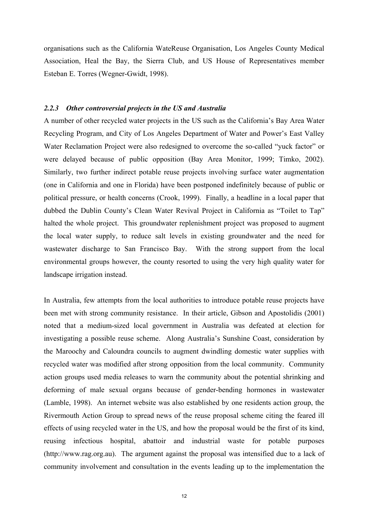organisations such as the California WateReuse Organisation, Los Angeles County Medical Association, Heal the Bay, the Sierra Club, and US House of Representatives member Esteban E. Torres (Wegner-Gwidt, 1998).

#### *2.2.3 Other controversial projects in the US and Australia*

A number of other recycled water projects in the US such as the California's Bay Area Water Recycling Program, and City of Los Angeles Department of Water and Power's East Valley Water Reclamation Project were also redesigned to overcome the so-called "yuck factor" or were delayed because of public opposition (Bay Area Monitor, 1999; Timko, 2002). Similarly, two further indirect potable reuse projects involving surface water augmentation (one in California and one in Florida) have been postponed indefinitely because of public or political pressure, or health concerns (Crook, 1999). Finally, a headline in a local paper that dubbed the Dublin County's Clean Water Revival Project in California as "Toilet to Tap" halted the whole project. This groundwater replenishment project was proposed to augment the local water supply, to reduce salt levels in existing groundwater and the need for wastewater discharge to San Francisco Bay. With the strong support from the local environmental groups however, the county resorted to using the very high quality water for landscape irrigation instead.

In Australia, few attempts from the local authorities to introduce potable reuse projects have been met with strong community resistance. In their article, Gibson and Apostolidis (2001) noted that a medium-sized local government in Australia was defeated at election for investigating a possible reuse scheme. Along Australia's Sunshine Coast, consideration by the Maroochy and Caloundra councils to augment dwindling domestic water supplies with recycled water was modified after strong opposition from the local community. Community action groups used media releases to warn the community about the potential shrinking and deforming of male sexual organs because of gender-bending hormones in wastewater (Lamble, 1998). An internet website was also established by one residents action group, the Rivermouth Action Group to spread news of the reuse proposal scheme citing the feared ill effects of using recycled water in the US, and how the proposal would be the first of its kind, reusing infectious hospital, abattoir and industrial waste for potable purposes (http://www.rag.org.au). The argument against the proposal was intensified due to a lack of community involvement and consultation in the events leading up to the implementation the

12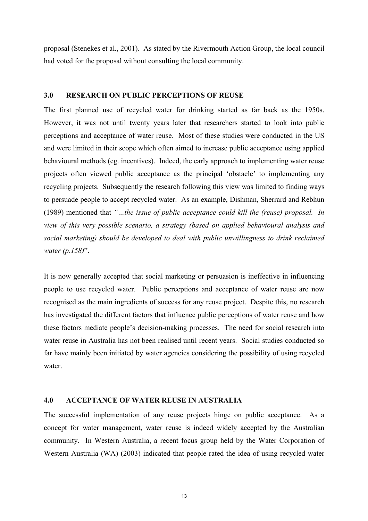proposal (Stenekes et al., 2001). As stated by the Rivermouth Action Group, the local council had voted for the proposal without consulting the local community.

#### **3.0 RESEARCH ON PUBLIC PERCEPTIONS OF REUSE**

The first planned use of recycled water for drinking started as far back as the 1950s. However, it was not until twenty years later that researchers started to look into public perceptions and acceptance of water reuse. Most of these studies were conducted in the US and were limited in their scope which often aimed to increase public acceptance using applied behavioural methods (eg. incentives). Indeed, the early approach to implementing water reuse projects often viewed public acceptance as the principal 'obstacle' to implementing any recycling projects. Subsequently the research following this view was limited to finding ways to persuade people to accept recycled water. As an example, Dishman, Sherrard and Rebhun (1989) mentioned that *"…the issue of public acceptance could kill the (reuse) proposal. In view of this very possible scenario, a strategy (based on applied behavioural analysis and social marketing) should be developed to deal with public unwillingness to drink reclaimed water (p.158)*".

It is now generally accepted that social marketing or persuasion is ineffective in influencing people to use recycled water. Public perceptions and acceptance of water reuse are now recognised as the main ingredients of success for any reuse project. Despite this, no research has investigated the different factors that influence public perceptions of water reuse and how these factors mediate people's decision-making processes. The need for social research into water reuse in Australia has not been realised until recent years. Social studies conducted so far have mainly been initiated by water agencies considering the possibility of using recycled water.

#### **4.0 ACCEPTANCE OF WATER REUSE IN AUSTRALIA**

The successful implementation of any reuse projects hinge on public acceptance. As a concept for water management, water reuse is indeed widely accepted by the Australian community. In Western Australia, a recent focus group held by the Water Corporation of Western Australia (WA) (2003) indicated that people rated the idea of using recycled water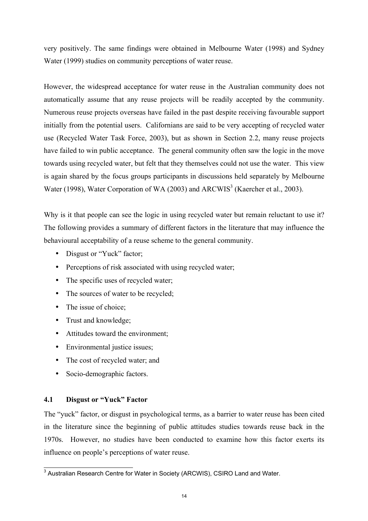very positively. The same findings were obtained in Melbourne Water (1998) and Sydney Water (1999) studies on community perceptions of water reuse.

However, the widespread acceptance for water reuse in the Australian community does not automatically assume that any reuse projects will be readily accepted by the community. Numerous reuse projects overseas have failed in the past despite receiving favourable support initially from the potential users. Californians are said to be very accepting of recycled water use (Recycled Water Task Force, 2003), but as shown in Section 2.2, many reuse projects have failed to win public acceptance. The general community often saw the logic in the move towards using recycled water, but felt that they themselves could not use the water. This view is again shared by the focus groups participants in discussions held separately by Melbourne Water (1998), Water Corporation of WA (2003) and ARCWIS<sup>3</sup> (Kaercher et al., 2003).

Why is it that people can see the logic in using recycled water but remain reluctant to use it? The following provides a summary of different factors in the literature that may influence the behavioural acceptability of a reuse scheme to the general community.

- Disgust or "Yuck" factor;
- Perceptions of risk associated with using recycled water;
- The specific uses of recycled water;
- The sources of water to be recycled;
- The issue of choice;
- Trust and knowledge;
- Attitudes toward the environment;
- Environmental justice issues;
- The cost of recycled water; and
- Socio-demographic factors.

#### **4.1 Disgust or "Yuck" Factor**

The "yuck" factor, or disgust in psychological terms, as a barrier to water reuse has been cited in the literature since the beginning of public attitudes studies towards reuse back in the 1970s. However, no studies have been conducted to examine how this factor exerts its influence on people's perceptions of water reuse.

 3 Australian Research Centre for Water in Society (ARCWIS), CSIRO Land and Water.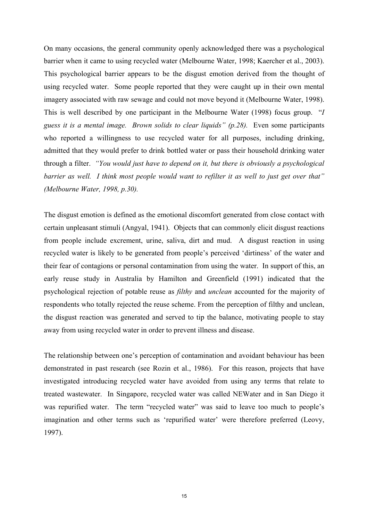On many occasions, the general community openly acknowledged there was a psychological barrier when it came to using recycled water (Melbourne Water, 1998; Kaercher et al., 2003). This psychological barrier appears to be the disgust emotion derived from the thought of using recycled water. Some people reported that they were caught up in their own mental imagery associated with raw sewage and could not move beyond it (Melbourne Water, 1998). This is well described by one participant in the Melbourne Water (1998) focus group. "*I guess it is a mental image. Brown solids to clear liquids" (p.28).* Even some participants who reported a willingness to use recycled water for all purposes, including drinking, admitted that they would prefer to drink bottled water or pass their household drinking water through a filter. *"You would just have to depend on it, but there is obviously a psychological barrier as well. I think most people would want to refilter it as well to just get over that" (Melbourne Water, 1998, p.30).* 

The disgust emotion is defined as the emotional discomfort generated from close contact with certain unpleasant stimuli (Angyal, 1941). Objects that can commonly elicit disgust reactions from people include excrement, urine, saliva, dirt and mud. A disgust reaction in using recycled water is likely to be generated from people's perceived 'dirtiness' of the water and their fear of contagions or personal contamination from using the water. In support of this, an early reuse study in Australia by Hamilton and Greenfield (1991) indicated that the psychological rejection of potable reuse as *filthy* and *unclean* accounted for the majority of respondents who totally rejected the reuse scheme. From the perception of filthy and unclean, the disgust reaction was generated and served to tip the balance, motivating people to stay away from using recycled water in order to prevent illness and disease.

The relationship between one's perception of contamination and avoidant behaviour has been demonstrated in past research (see Rozin et al., 1986). For this reason, projects that have investigated introducing recycled water have avoided from using any terms that relate to treated wastewater. In Singapore, recycled water was called NEWater and in San Diego it was repurified water. The term "recycled water" was said to leave too much to people's imagination and other terms such as 'repurified water' were therefore preferred (Leovy, 1997).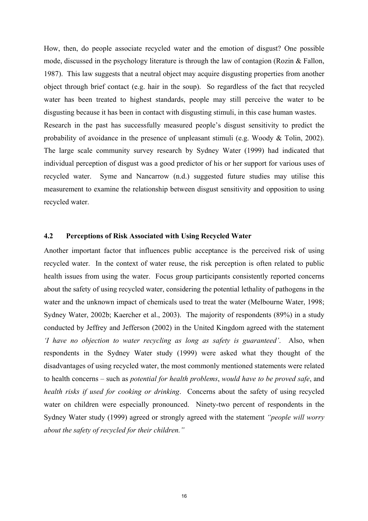How, then, do people associate recycled water and the emotion of disgust? One possible mode, discussed in the psychology literature is through the law of contagion (Rozin  $\&$  Fallon, 1987). This law suggests that a neutral object may acquire disgusting properties from another object through brief contact (e.g. hair in the soup). So regardless of the fact that recycled water has been treated to highest standards, people may still perceive the water to be disgusting because it has been in contact with disgusting stimuli, in this case human wastes. Research in the past has successfully measured people's disgust sensitivity to predict the probability of avoidance in the presence of unpleasant stimuli (e.g. Woody & Tolin, 2002). The large scale community survey research by Sydney Water (1999) had indicated that individual perception of disgust was a good predictor of his or her support for various uses of recycled water. Syme and Nancarrow (n.d.) suggested future studies may utilise this measurement to examine the relationship between disgust sensitivity and opposition to using recycled water.

#### **4.2 Perceptions of Risk Associated with Using Recycled Water**

Another important factor that influences public acceptance is the perceived risk of using recycled water. In the context of water reuse, the risk perception is often related to public health issues from using the water. Focus group participants consistently reported concerns about the safety of using recycled water, considering the potential lethality of pathogens in the water and the unknown impact of chemicals used to treat the water (Melbourne Water, 1998; Sydney Water, 2002b; Kaercher et al., 2003). The majority of respondents (89%) in a study conducted by Jeffrey and Jefferson (2002) in the United Kingdom agreed with the statement *'I have no objection to water recycling as long as safety is guaranteed'*. Also, when respondents in the Sydney Water study (1999) were asked what they thought of the disadvantages of using recycled water, the most commonly mentioned statements were related to health concerns – such as *potential for health problems*, *would have to be proved safe*, and *health risks if used for cooking or drinking*. Concerns about the safety of using recycled water on children were especially pronounced. Ninety-two percent of respondents in the Sydney Water study (1999) agreed or strongly agreed with the statement *"people will worry about the safety of recycled for their children."*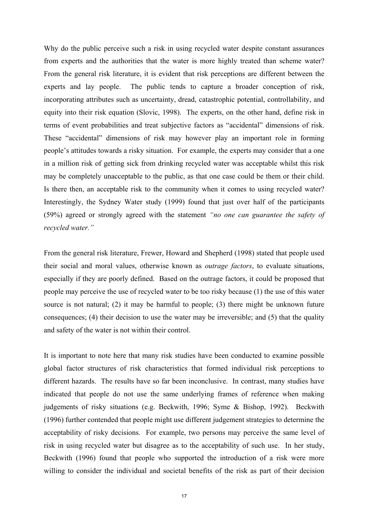Why do the public perceive such a risk in using recycled water despite constant assurances from experts and the authorities that the water is more highly treated than scheme water? From the general risk literature, it is evident that risk perceptions are different between the experts and lay people. The public tends to capture a broader conception of risk, incorporating attributes such as uncertainty, dread, catastrophic potential, controllability, and equity into their risk equation (Slovic, 1998). The experts, on the other hand, define risk in terms of event probabilities and treat subjective factors as "accidental" dimensions of risk. These "accidental" dimensions of risk may however play an important role in forming people's attitudes towards a risky situation. For example, the experts may consider that a one in a million risk of getting sick from drinking recycled water was acceptable whilst this risk may be completely unacceptable to the public, as that one case could be them or their child. Is there then, an acceptable risk to the community when it comes to using recycled water? Interestingly, the Sydney Water study (1999) found that just over half of the participants (59%) agreed or strongly agreed with the statement *"no one can guarantee the safety of recycled water."*

From the general risk literature, Frewer, Howard and Shepherd (1998) stated that people used their social and moral values, otherwise known as *outrage factors*, to evaluate situations, especially if they are poorly defined. Based on the outrage factors, it could be proposed that people may perceive the use of recycled water to be too risky because (1) the use of this water source is not natural; (2) it may be harmful to people; (3) there might be unknown future consequences; (4) their decision to use the water may be irreversible; and (5) that the quality and safety of the water is not within their control.

It is important to note here that many risk studies have been conducted to examine possible global factor structures of risk characteristics that formed individual risk perceptions to different hazards. The results have so far been inconclusive. In contrast, many studies have indicated that people do not use the same underlying frames of reference when making judgements of risky situations (e.g. Beckwith, 1996; Syme & Bishop, 1992). Beckwith (1996) further contended that people might use different judgement strategies to determine the acceptability of risky decisions. For example, two persons may perceive the same level of risk in using recycled water but disagree as to the acceptability of such use. In her study, Beckwith (1996) found that people who supported the introduction of a risk were more willing to consider the individual and societal benefits of the risk as part of their decision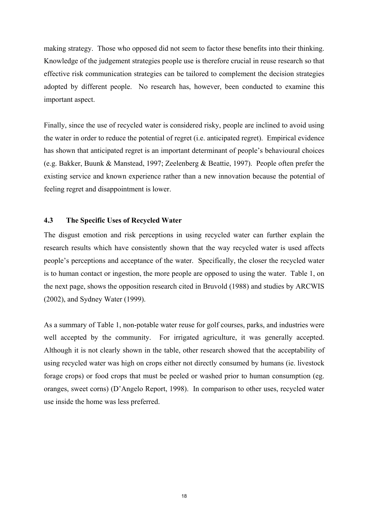making strategy. Those who opposed did not seem to factor these benefits into their thinking. Knowledge of the judgement strategies people use is therefore crucial in reuse research so that effective risk communication strategies can be tailored to complement the decision strategies adopted by different people. No research has, however, been conducted to examine this important aspect.

Finally, since the use of recycled water is considered risky, people are inclined to avoid using the water in order to reduce the potential of regret (i.e. anticipated regret). Empirical evidence has shown that anticipated regret is an important determinant of people's behavioural choices (e.g. Bakker, Buunk & Manstead, 1997; Zeelenberg & Beattie, 1997). People often prefer the existing service and known experience rather than a new innovation because the potential of feeling regret and disappointment is lower.

#### **4.3 The Specific Uses of Recycled Water**

The disgust emotion and risk perceptions in using recycled water can further explain the research results which have consistently shown that the way recycled water is used affects people's perceptions and acceptance of the water. Specifically, the closer the recycled water is to human contact or ingestion, the more people are opposed to using the water. Table 1, on the next page, shows the opposition research cited in Bruvold (1988) and studies by ARCWIS (2002), and Sydney Water (1999).

As a summary of Table 1, non-potable water reuse for golf courses, parks, and industries were well accepted by the community. For irrigated agriculture, it was generally accepted. Although it is not clearly shown in the table, other research showed that the acceptability of using recycled water was high on crops either not directly consumed by humans (ie. livestock forage crops) or food crops that must be peeled or washed prior to human consumption (eg. oranges, sweet corns) (D'Angelo Report, 1998). In comparison to other uses, recycled water use inside the home was less preferred.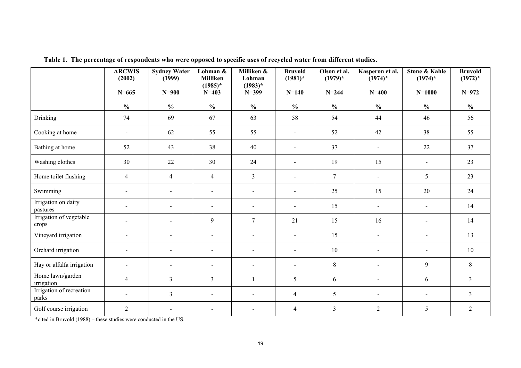|                                   | <b>ARCWIS</b><br>(2002) | <b>Sydney Water</b><br>(1999) | Lohman &<br>Milliken           | Milliken &<br>Lohman     | <b>Bruvold</b><br>$(1981)^*$ | Olson et al.<br>$(1979)*$ | Kasperon et al.<br>$(1974)^*$ | <b>Stone &amp; Kahle</b><br>$(1974)^*$ | <b>Bruvold</b><br>$(1972)^{*}$ |
|-----------------------------------|-------------------------|-------------------------------|--------------------------------|--------------------------|------------------------------|---------------------------|-------------------------------|----------------------------------------|--------------------------------|
|                                   | $N = 665$               | $N=900$                       | $(1985)*$<br>$N = 403$         | $(1983)*$<br>$N = 399$   | $N = 140$                    | $N = 244$                 | $N = 400$                     | $N = 1000$                             | $N=972$                        |
|                                   | $\frac{0}{0}$           | $\frac{0}{0}$                 | $\boldsymbol{\mathrm{0}/_{0}}$ | $\frac{6}{6}$            | $\frac{6}{6}$                | $\frac{0}{0}$             | $\frac{0}{0}$                 | $\frac{6}{10}$                         | $\frac{6}{10}$                 |
| Drinking                          | 74                      | 69                            | 67                             | 63                       | 58                           | 54                        | 44                            | 46                                     | 56                             |
| Cooking at home                   | $\blacksquare$          | 62                            | 55                             | 55                       | $\sim$                       | 52                        | 42                            | 38                                     | 55                             |
| Bathing at home                   | 52                      | 43                            | 38                             | 40                       | $\blacksquare$               | 37                        | $\blacksquare$                | $22\,$                                 | 37                             |
| Washing clothes                   | 30                      | 22                            | 30                             | 24                       | $\blacksquare$               | 19                        | 15                            | $\blacksquare$                         | 23                             |
| Home toilet flushing              | $\overline{4}$          | $\overline{4}$                | $\overline{4}$                 | $\overline{3}$           | $\sim$                       | $\overline{7}$            | $\blacksquare$                | 5                                      | 23                             |
| Swimming                          | $\blacksquare$          | $\sim$                        | $\sim$                         | $\blacksquare$           | $\sim$                       | 25                        | 15                            | 20                                     | 24                             |
| Irrigation on dairy<br>pastures   |                         | $\blacksquare$                | $\sim$                         | $\blacksquare$           | $\sim$                       | 15                        | $\blacksquare$                | $\blacksquare$                         | 14                             |
| Irrigation of vegetable<br>crops  | $\blacksquare$          | $\sim$                        | 9                              | $7\phantom{.0}$          | 21                           | 15                        | 16                            | $\sim$                                 | 14                             |
| Vineyard irrigation               | $\blacksquare$          | $\blacksquare$                | $\blacksquare$                 | $\sim$                   | $\blacksquare$               | 15                        | $\blacksquare$                | $\blacksquare$                         | 13                             |
| Orchard irrigation                |                         | $\overline{\phantom{a}}$      | $\sim$                         | $\sim$                   | $\overline{a}$               | 10                        | $\sim$                        | $\blacksquare$                         | 10                             |
| Hay or alfalfa irrigation         | $\blacksquare$          | $\blacksquare$                | $\overline{\phantom{a}}$       | $\overline{\phantom{a}}$ | $\blacksquare$               | 8                         | $\blacksquare$                | 9                                      | $8\,$                          |
| Home lawn/garden<br>irrigation    | $\overline{4}$          | $\mathfrak{Z}$                | $\overline{3}$                 | $\mathbf{1}$             | 5                            | 6                         | $\blacksquare$                | 6                                      | $\mathfrak{Z}$                 |
| Irrigation of recreation<br>parks |                         | 3                             | $\blacksquare$                 | $\overline{a}$           | $\overline{4}$               | 5                         | $\blacksquare$                | $\overline{\phantom{a}}$               | $\mathfrak{Z}$                 |
| Golf course irrigation            | $\overline{2}$          | $\overline{\phantom{a}}$      | $\blacksquare$                 |                          | $\overline{4}$               | $\overline{3}$            | $\overline{2}$                | 5                                      | $\overline{2}$                 |

**Table 1. The percentage of respondents who were opposed to specific uses of recycled water from different studies.** 

\*cited in Bruvold (1988) – these studies were conducted in the US.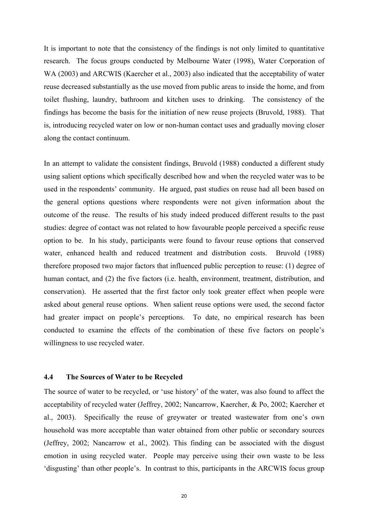It is important to note that the consistency of the findings is not only limited to quantitative research. The focus groups conducted by Melbourne Water (1998), Water Corporation of WA (2003) and ARCWIS (Kaercher et al., 2003) also indicated that the acceptability of water reuse decreased substantially as the use moved from public areas to inside the home, and from toilet flushing, laundry, bathroom and kitchen uses to drinking. The consistency of the findings has become the basis for the initiation of new reuse projects (Bruvold, 1988). That is, introducing recycled water on low or non-human contact uses and gradually moving closer along the contact continuum.

In an attempt to validate the consistent findings, Bruvold (1988) conducted a different study using salient options which specifically described how and when the recycled water was to be used in the respondents' community. He argued, past studies on reuse had all been based on the general options questions where respondents were not given information about the outcome of the reuse. The results of his study indeed produced different results to the past studies: degree of contact was not related to how favourable people perceived a specific reuse option to be. In his study, participants were found to favour reuse options that conserved water, enhanced health and reduced treatment and distribution costs. Bruvold (1988) therefore proposed two major factors that influenced public perception to reuse: (1) degree of human contact, and (2) the five factors (i.e. health, environment, treatment, distribution, and conservation). He asserted that the first factor only took greater effect when people were asked about general reuse options. When salient reuse options were used, the second factor had greater impact on people's perceptions. To date, no empirical research has been conducted to examine the effects of the combination of these five factors on people's willingness to use recycled water.

#### **4.4 The Sources of Water to be Recycled**

The source of water to be recycled, or 'use history' of the water, was also found to affect the acceptability of recycled water (Jeffrey, 2002; Nancarrow, Kaercher, & Po, 2002; Kaercher et al., 2003). Specifically the reuse of greywater or treated wastewater from one's own household was more acceptable than water obtained from other public or secondary sources (Jeffrey, 2002; Nancarrow et al., 2002). This finding can be associated with the disgust emotion in using recycled water. People may perceive using their own waste to be less 'disgusting' than other people's. In contrast to this, participants in the ARCWIS focus group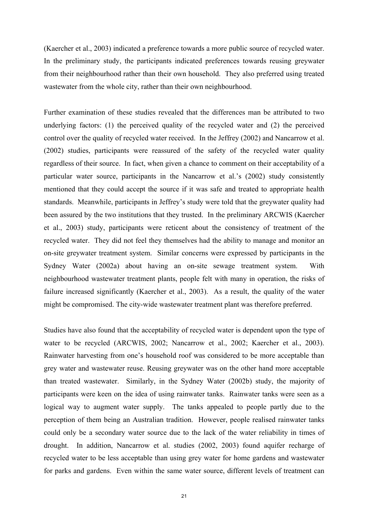(Kaercher et al., 2003) indicated a preference towards a more public source of recycled water. In the preliminary study, the participants indicated preferences towards reusing greywater from their neighbourhood rather than their own household. They also preferred using treated wastewater from the whole city, rather than their own neighbourhood.

Further examination of these studies revealed that the differences man be attributed to two underlying factors: (1) the perceived quality of the recycled water and (2) the perceived control over the quality of recycled water received. In the Jeffrey (2002) and Nancarrow et al. (2002) studies, participants were reassured of the safety of the recycled water quality regardless of their source. In fact, when given a chance to comment on their acceptability of a particular water source, participants in the Nancarrow et al.'s (2002) study consistently mentioned that they could accept the source if it was safe and treated to appropriate health standards. Meanwhile, participants in Jeffrey's study were told that the greywater quality had been assured by the two institutions that they trusted. In the preliminary ARCWIS (Kaercher et al., 2003) study, participants were reticent about the consistency of treatment of the recycled water. They did not feel they themselves had the ability to manage and monitor an on-site greywater treatment system. Similar concerns were expressed by participants in the Sydney Water (2002a) about having an on-site sewage treatment system. With neighbourhood wastewater treatment plants, people felt with many in operation, the risks of failure increased significantly (Kaercher et al., 2003). As a result, the quality of the water might be compromised. The city-wide wastewater treatment plant was therefore preferred.

Studies have also found that the acceptability of recycled water is dependent upon the type of water to be recycled (ARCWIS, 2002; Nancarrow et al., 2002; Kaercher et al., 2003). Rainwater harvesting from one's household roof was considered to be more acceptable than grey water and wastewater reuse. Reusing greywater was on the other hand more acceptable than treated wastewater. Similarly, in the Sydney Water (2002b) study, the majority of participants were keen on the idea of using rainwater tanks. Rainwater tanks were seen as a logical way to augment water supply. The tanks appealed to people partly due to the perception of them being an Australian tradition. However, people realised rainwater tanks could only be a secondary water source due to the lack of the water reliability in times of drought. In addition, Nancarrow et al. studies (2002, 2003) found aquifer recharge of recycled water to be less acceptable than using grey water for home gardens and wastewater for parks and gardens. Even within the same water source, different levels of treatment can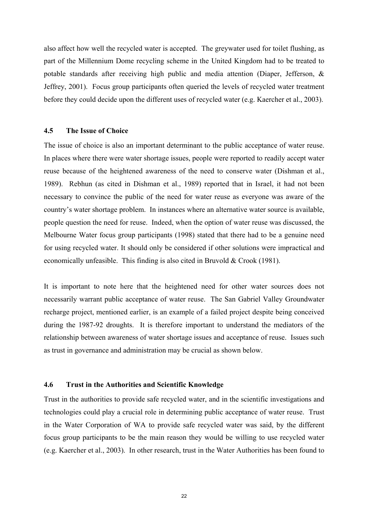also affect how well the recycled water is accepted. The greywater used for toilet flushing, as part of the Millennium Dome recycling scheme in the United Kingdom had to be treated to potable standards after receiving high public and media attention (Diaper, Jefferson, & Jeffrey, 2001). Focus group participants often queried the levels of recycled water treatment before they could decide upon the different uses of recycled water (e.g. Kaercher et al., 2003).

#### **4.5 The Issue of Choice**

The issue of choice is also an important determinant to the public acceptance of water reuse. In places where there were water shortage issues, people were reported to readily accept water reuse because of the heightened awareness of the need to conserve water (Dishman et al., 1989). Rebhun (as cited in Dishman et al., 1989) reported that in Israel, it had not been necessary to convince the public of the need for water reuse as everyone was aware of the country's water shortage problem. In instances where an alternative water source is available, people question the need for reuse. Indeed, when the option of water reuse was discussed, the Melbourne Water focus group participants (1998) stated that there had to be a genuine need for using recycled water. It should only be considered if other solutions were impractical and economically unfeasible. This finding is also cited in Bruvold & Crook (1981).

It is important to note here that the heightened need for other water sources does not necessarily warrant public acceptance of water reuse. The San Gabriel Valley Groundwater recharge project, mentioned earlier, is an example of a failed project despite being conceived during the 1987-92 droughts. It is therefore important to understand the mediators of the relationship between awareness of water shortage issues and acceptance of reuse. Issues such as trust in governance and administration may be crucial as shown below.

#### **4.6 Trust in the Authorities and Scientific Knowledge**

Trust in the authorities to provide safe recycled water, and in the scientific investigations and technologies could play a crucial role in determining public acceptance of water reuse. Trust in the Water Corporation of WA to provide safe recycled water was said, by the different focus group participants to be the main reason they would be willing to use recycled water (e.g. Kaercher et al., 2003). In other research, trust in the Water Authorities has been found to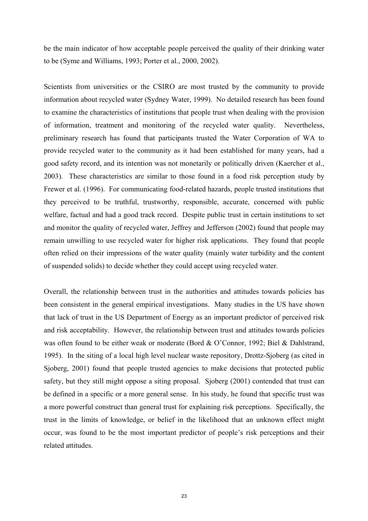be the main indicator of how acceptable people perceived the quality of their drinking water to be (Syme and Williams, 1993; Porter et al., 2000, 2002).

Scientists from universities or the CSIRO are most trusted by the community to provide information about recycled water (Sydney Water, 1999). No detailed research has been found to examine the characteristics of institutions that people trust when dealing with the provision of information, treatment and monitoring of the recycled water quality. Nevertheless, preliminary research has found that participants trusted the Water Corporation of WA to provide recycled water to the community as it had been established for many years, had a good safety record, and its intention was not monetarily or politically driven (Kaercher et al., 2003). These characteristics are similar to those found in a food risk perception study by Frewer et al. (1996). For communicating food-related hazards, people trusted institutions that they perceived to be truthful, trustworthy, responsible, accurate, concerned with public welfare, factual and had a good track record. Despite public trust in certain institutions to set and monitor the quality of recycled water, Jeffrey and Jefferson (2002) found that people may remain unwilling to use recycled water for higher risk applications. They found that people often relied on their impressions of the water quality (mainly water turbidity and the content of suspended solids) to decide whether they could accept using recycled water.

Overall, the relationship between trust in the authorities and attitudes towards policies has been consistent in the general empirical investigations. Many studies in the US have shown that lack of trust in the US Department of Energy as an important predictor of perceived risk and risk acceptability. However, the relationship between trust and attitudes towards policies was often found to be either weak or moderate (Bord & O'Connor, 1992; Biel & Dahlstrand, 1995). In the siting of a local high level nuclear waste repository, Drottz-Sjoberg (as cited in Sjoberg, 2001) found that people trusted agencies to make decisions that protected public safety, but they still might oppose a siting proposal. Sjoberg (2001) contended that trust can be defined in a specific or a more general sense. In his study, he found that specific trust was a more powerful construct than general trust for explaining risk perceptions. Specifically, the trust in the limits of knowledge, or belief in the likelihood that an unknown effect might occur, was found to be the most important predictor of people's risk perceptions and their related attitudes.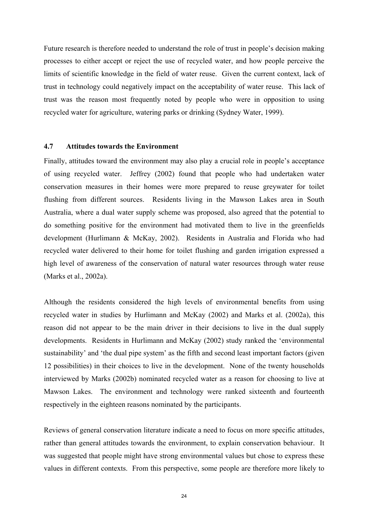Future research is therefore needed to understand the role of trust in people's decision making processes to either accept or reject the use of recycled water, and how people perceive the limits of scientific knowledge in the field of water reuse. Given the current context, lack of trust in technology could negatively impact on the acceptability of water reuse. This lack of trust was the reason most frequently noted by people who were in opposition to using recycled water for agriculture, watering parks or drinking (Sydney Water, 1999).

#### **4.7 Attitudes towards the Environment**

Finally, attitudes toward the environment may also play a crucial role in people's acceptance of using recycled water. Jeffrey (2002) found that people who had undertaken water conservation measures in their homes were more prepared to reuse greywater for toilet flushing from different sources. Residents living in the Mawson Lakes area in South Australia, where a dual water supply scheme was proposed, also agreed that the potential to do something positive for the environment had motivated them to live in the greenfields development (Hurlimann & McKay, 2002). Residents in Australia and Florida who had recycled water delivered to their home for toilet flushing and garden irrigation expressed a high level of awareness of the conservation of natural water resources through water reuse (Marks et al., 2002a).

Although the residents considered the high levels of environmental benefits from using recycled water in studies by Hurlimann and McKay (2002) and Marks et al. (2002a), this reason did not appear to be the main driver in their decisions to live in the dual supply developments. Residents in Hurlimann and McKay (2002) study ranked the 'environmental sustainability' and 'the dual pipe system' as the fifth and second least important factors (given 12 possibilities) in their choices to live in the development. None of the twenty households interviewed by Marks (2002b) nominated recycled water as a reason for choosing to live at Mawson Lakes. The environment and technology were ranked sixteenth and fourteenth respectively in the eighteen reasons nominated by the participants.

Reviews of general conservation literature indicate a need to focus on more specific attitudes, rather than general attitudes towards the environment, to explain conservation behaviour. It was suggested that people might have strong environmental values but chose to express these values in different contexts. From this perspective, some people are therefore more likely to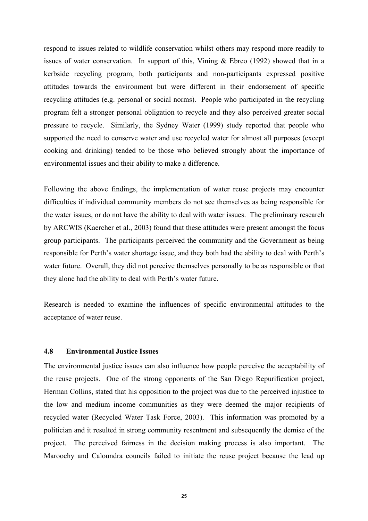respond to issues related to wildlife conservation whilst others may respond more readily to issues of water conservation. In support of this, Vining & Ebreo (1992) showed that in a kerbside recycling program, both participants and non-participants expressed positive attitudes towards the environment but were different in their endorsement of specific recycling attitudes (e.g. personal or social norms). People who participated in the recycling program felt a stronger personal obligation to recycle and they also perceived greater social pressure to recycle. Similarly, the Sydney Water (1999) study reported that people who supported the need to conserve water and use recycled water for almost all purposes (except cooking and drinking) tended to be those who believed strongly about the importance of environmental issues and their ability to make a difference.

Following the above findings, the implementation of water reuse projects may encounter difficulties if individual community members do not see themselves as being responsible for the water issues, or do not have the ability to deal with water issues. The preliminary research by ARCWIS (Kaercher et al., 2003) found that these attitudes were present amongst the focus group participants. The participants perceived the community and the Government as being responsible for Perth's water shortage issue, and they both had the ability to deal with Perth's water future. Overall, they did not perceive themselves personally to be as responsible or that they alone had the ability to deal with Perth's water future.

Research is needed to examine the influences of specific environmental attitudes to the acceptance of water reuse.

#### **4.8 Environmental Justice Issues**

The environmental justice issues can also influence how people perceive the acceptability of the reuse projects. One of the strong opponents of the San Diego Repurification project, Herman Collins, stated that his opposition to the project was due to the perceived injustice to the low and medium income communities as they were deemed the major recipients of recycled water (Recycled Water Task Force, 2003). This information was promoted by a politician and it resulted in strong community resentment and subsequently the demise of the project. The perceived fairness in the decision making process is also important. The Maroochy and Caloundra councils failed to initiate the reuse project because the lead up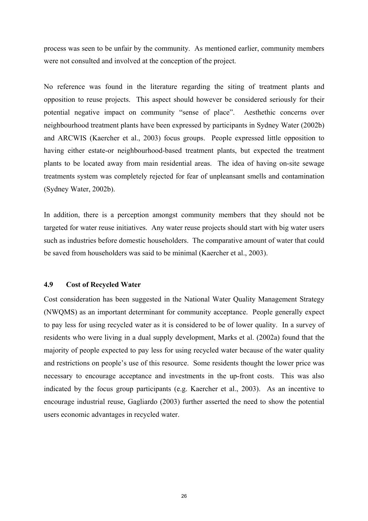process was seen to be unfair by the community. As mentioned earlier, community members were not consulted and involved at the conception of the project.

No reference was found in the literature regarding the siting of treatment plants and opposition to reuse projects. This aspect should however be considered seriously for their potential negative impact on community "sense of place". Aesthethic concerns over neighbourhood treatment plants have been expressed by participants in Sydney Water (2002b) and ARCWIS (Kaercher et al., 2003) focus groups. People expressed little opposition to having either estate-or neighbourhood-based treatment plants, but expected the treatment plants to be located away from main residential areas. The idea of having on-site sewage treatments system was completely rejected for fear of unpleansant smells and contamination (Sydney Water, 2002b).

In addition, there is a perception amongst community members that they should not be targeted for water reuse initiatives. Any water reuse projects should start with big water users such as industries before domestic householders. The comparative amount of water that could be saved from householders was said to be minimal (Kaercher et al., 2003).

#### **4.9 Cost of Recycled Water**

Cost consideration has been suggested in the National Water Quality Management Strategy (NWQMS) as an important determinant for community acceptance. People generally expect to pay less for using recycled water as it is considered to be of lower quality. In a survey of residents who were living in a dual supply development, Marks et al. (2002a) found that the majority of people expected to pay less for using recycled water because of the water quality and restrictions on people's use of this resource. Some residents thought the lower price was necessary to encourage acceptance and investments in the up-front costs. This was also indicated by the focus group participants (e.g. Kaercher et al., 2003). As an incentive to encourage industrial reuse, Gagliardo (2003) further asserted the need to show the potential users economic advantages in recycled water.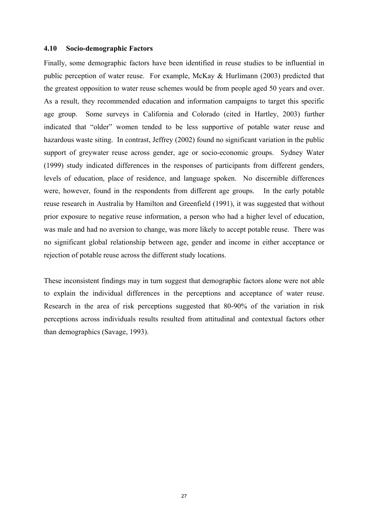#### **4.10 Socio-demographic Factors**

Finally, some demographic factors have been identified in reuse studies to be influential in public perception of water reuse. For example, McKay & Hurlimann (2003) predicted that the greatest opposition to water reuse schemes would be from people aged 50 years and over. As a result, they recommended education and information campaigns to target this specific age group. Some surveys in California and Colorado (cited in Hartley, 2003) further indicated that "older" women tended to be less supportive of potable water reuse and hazardous waste siting. In contrast, Jeffrey (2002) found no significant variation in the public support of greywater reuse across gender, age or socio-economic groups. Sydney Water (1999) study indicated differences in the responses of participants from different genders, levels of education, place of residence, and language spoken. No discernible differences were, however, found in the respondents from different age groups. In the early potable reuse research in Australia by Hamilton and Greenfield (1991), it was suggested that without prior exposure to negative reuse information, a person who had a higher level of education, was male and had no aversion to change, was more likely to accept potable reuse. There was no significant global relationship between age, gender and income in either acceptance or rejection of potable reuse across the different study locations.

These inconsistent findings may in turn suggest that demographic factors alone were not able to explain the individual differences in the perceptions and acceptance of water reuse. Research in the area of risk perceptions suggested that 80-90% of the variation in risk perceptions across individuals results resulted from attitudinal and contextual factors other than demographics (Savage, 1993).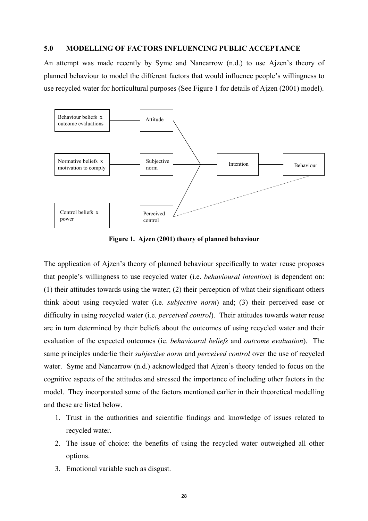#### **5.0 MODELLING OF FACTORS INFLUENCING PUBLIC ACCEPTANCE**

An attempt was made recently by Syme and Nancarrow (n.d.) to use Ajzen's theory of planned behaviour to model the different factors that would influence people's willingness to use recycled water for horticultural purposes (See Figure 1 for details of Ajzen (2001) model).



**Figure 1. Ajzen (2001) theory of planned behaviour** 

The application of Ajzen's theory of planned behaviour specifically to water reuse proposes that people's willingness to use recycled water (i.e. *behavioural intention*) is dependent on: (1) their attitudes towards using the water; (2) their perception of what their significant others think about using recycled water (i.e. *subjective norm*) and; (3) their perceived ease or difficulty in using recycled water (i.e. *perceived control*). Their attitudes towards water reuse are in turn determined by their beliefs about the outcomes of using recycled water and their evaluation of the expected outcomes (ie. *behavioural beliefs* and *outcome evaluation*). The same principles underlie their *subjective norm* and *perceived control* over the use of recycled water. Syme and Nancarrow (n.d.) acknowledged that Ajzen's theory tended to focus on the cognitive aspects of the attitudes and stressed the importance of including other factors in the model. They incorporated some of the factors mentioned earlier in their theoretical modelling and these are listed below.

- 1. Trust in the authorities and scientific findings and knowledge of issues related to recycled water.
- 2. The issue of choice: the benefits of using the recycled water outweighed all other options.
- 3. Emotional variable such as disgust.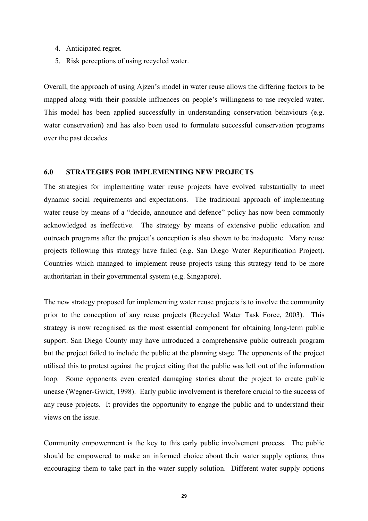- 4. Anticipated regret.
- 5. Risk perceptions of using recycled water.

Overall, the approach of using Ajzen's model in water reuse allows the differing factors to be mapped along with their possible influences on people's willingness to use recycled water. This model has been applied successfully in understanding conservation behaviours (e.g. water conservation) and has also been used to formulate successful conservation programs over the past decades.

#### **6.0 STRATEGIES FOR IMPLEMENTING NEW PROJECTS**

The strategies for implementing water reuse projects have evolved substantially to meet dynamic social requirements and expectations. The traditional approach of implementing water reuse by means of a "decide, announce and defence" policy has now been commonly acknowledged as ineffective. The strategy by means of extensive public education and outreach programs after the project's conception is also shown to be inadequate. Many reuse projects following this strategy have failed (e.g. San Diego Water Repurification Project). Countries which managed to implement reuse projects using this strategy tend to be more authoritarian in their governmental system (e.g. Singapore).

The new strategy proposed for implementing water reuse projects is to involve the community prior to the conception of any reuse projects (Recycled Water Task Force, 2003). This strategy is now recognised as the most essential component for obtaining long-term public support. San Diego County may have introduced a comprehensive public outreach program but the project failed to include the public at the planning stage. The opponents of the project utilised this to protest against the project citing that the public was left out of the information loop. Some opponents even created damaging stories about the project to create public unease (Wegner-Gwidt, 1998). Early public involvement is therefore crucial to the success of any reuse projects. It provides the opportunity to engage the public and to understand their views on the issue.

Community empowerment is the key to this early public involvement process. The public should be empowered to make an informed choice about their water supply options, thus encouraging them to take part in the water supply solution. Different water supply options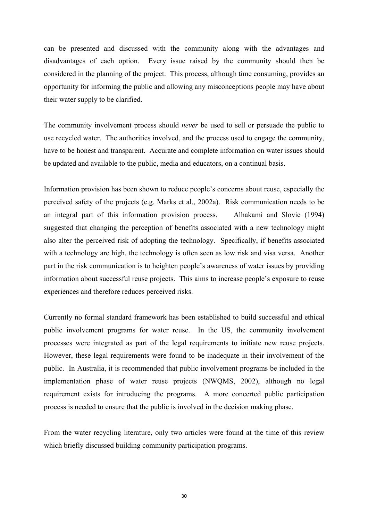can be presented and discussed with the community along with the advantages and disadvantages of each option. Every issue raised by the community should then be considered in the planning of the project. This process, although time consuming, provides an opportunity for informing the public and allowing any misconceptions people may have about their water supply to be clarified.

The community involvement process should *never* be used to sell or persuade the public to use recycled water. The authorities involved, and the process used to engage the community, have to be honest and transparent. Accurate and complete information on water issues should be updated and available to the public, media and educators, on a continual basis.

Information provision has been shown to reduce people's concerns about reuse, especially the perceived safety of the projects (e.g. Marks et al., 2002a). Risk communication needs to be an integral part of this information provision process. Alhakami and Slovic (1994) suggested that changing the perception of benefits associated with a new technology might also alter the perceived risk of adopting the technology. Specifically, if benefits associated with a technology are high, the technology is often seen as low risk and visa versa. Another part in the risk communication is to heighten people's awareness of water issues by providing information about successful reuse projects. This aims to increase people's exposure to reuse experiences and therefore reduces perceived risks.

Currently no formal standard framework has been established to build successful and ethical public involvement programs for water reuse. In the US, the community involvement processes were integrated as part of the legal requirements to initiate new reuse projects. However, these legal requirements were found to be inadequate in their involvement of the public. In Australia, it is recommended that public involvement programs be included in the implementation phase of water reuse projects (NWQMS, 2002), although no legal requirement exists for introducing the programs. A more concerted public participation process is needed to ensure that the public is involved in the decision making phase.

From the water recycling literature, only two articles were found at the time of this review which briefly discussed building community participation programs.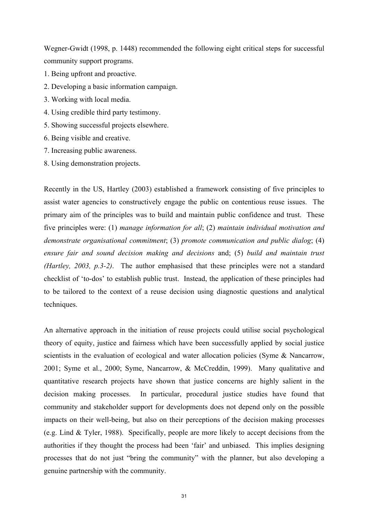Wegner-Gwidt (1998, p. 1448) recommended the following eight critical steps for successful community support programs.

- 1. Being upfront and proactive.
- 2. Developing a basic information campaign.
- 3. Working with local media.
- 4. Using credible third party testimony.
- 5. Showing successful projects elsewhere.
- 6. Being visible and creative.
- 7. Increasing public awareness.
- 8. Using demonstration projects.

Recently in the US, Hartley (2003) established a framework consisting of five principles to assist water agencies to constructively engage the public on contentious reuse issues. The primary aim of the principles was to build and maintain public confidence and trust. These five principles were: (1) *manage information for all*; (2) *maintain individual motivation and demonstrate organisational commitment*; (3) *promote communication and public dialog*; (4) *ensure fair and sound decision making and decisions* and; (5) *build and maintain trust (Hartley, 2003, p.3-2)*. The author emphasised that these principles were not a standard checklist of 'to-dos' to establish public trust. Instead, the application of these principles had to be tailored to the context of a reuse decision using diagnostic questions and analytical techniques.

An alternative approach in the initiation of reuse projects could utilise social psychological theory of equity, justice and fairness which have been successfully applied by social justice scientists in the evaluation of ecological and water allocation policies (Syme & Nancarrow, 2001; Syme et al., 2000; Syme, Nancarrow, & McCreddin, 1999). Many qualitative and quantitative research projects have shown that justice concerns are highly salient in the decision making processes. In particular, procedural justice studies have found that community and stakeholder support for developments does not depend only on the possible impacts on their well-being, but also on their perceptions of the decision making processes (e.g. Lind & Tyler, 1988). Specifically, people are more likely to accept decisions from the authorities if they thought the process had been 'fair' and unbiased. This implies designing processes that do not just "bring the community" with the planner, but also developing a genuine partnership with the community.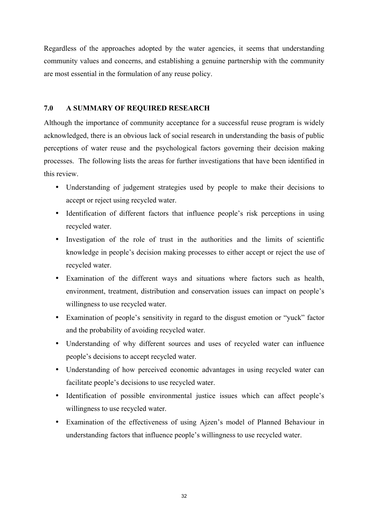Regardless of the approaches adopted by the water agencies, it seems that understanding community values and concerns, and establishing a genuine partnership with the community are most essential in the formulation of any reuse policy.

#### **7.0 A SUMMARY OF REQUIRED RESEARCH**

Although the importance of community acceptance for a successful reuse program is widely acknowledged, there is an obvious lack of social research in understanding the basis of public perceptions of water reuse and the psychological factors governing their decision making processes. The following lists the areas for further investigations that have been identified in this review.

- Understanding of judgement strategies used by people to make their decisions to accept or reject using recycled water.
- Identification of different factors that influence people's risk perceptions in using recycled water.
- Investigation of the role of trust in the authorities and the limits of scientific knowledge in people's decision making processes to either accept or reject the use of recycled water.
- Examination of the different ways and situations where factors such as health, environment, treatment, distribution and conservation issues can impact on people's willingness to use recycled water.
- Examination of people's sensitivity in regard to the disgust emotion or "yuck" factor and the probability of avoiding recycled water.
- Understanding of why different sources and uses of recycled water can influence people's decisions to accept recycled water.
- Understanding of how perceived economic advantages in using recycled water can facilitate people's decisions to use recycled water.
- Identification of possible environmental justice issues which can affect people's willingness to use recycled water.
- Examination of the effectiveness of using Ajzen's model of Planned Behaviour in understanding factors that influence people's willingness to use recycled water.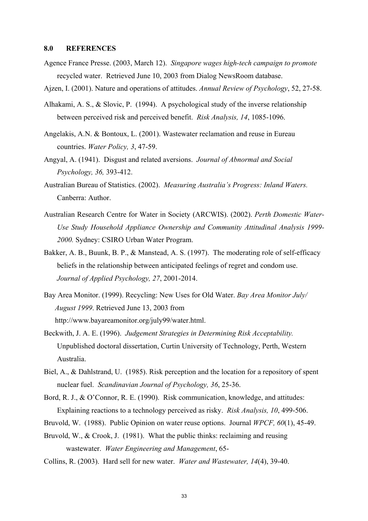#### **8.0 REFERENCES**

Agence France Presse. (2003, March 12). *Singapore wages high-tech campaign to promote*  recycled water. Retrieved June 10, 2003 from Dialog NewsRoom database.

Ajzen, I. (2001). Nature and operations of attitudes. *Annual Review of Psychology*, 52, 27-58.

- Alhakami, A. S., & Slovic, P. (1994). A psychological study of the inverse relationship between perceived risk and perceived benefit. *Risk Analysis, 14*, 1085-1096.
- Angelakis, A.N. & Bontoux, L. (2001). Wastewater reclamation and reuse in Eureau countries. *Water Policy, 3*, 47-59.
- Angyal, A. (1941). Disgust and related aversions. *Journal of Abnormal and Social Psychology, 36,* 393-412.
- Australian Bureau of Statistics. (2002). *Measuring Australia's Progress: Inland Waters.*  Canberra: Author.
- Australian Research Centre for Water in Society (ARCWIS). (2002). *Perth Domestic Water-Use Study Household Appliance Ownership and Community Attitudinal Analysis 1999- 2000.* Sydney: CSIRO Urban Water Program.
- Bakker, A. B., Buunk, B. P., & Manstead, A. S. (1997). The moderating role of self-efficacy beliefs in the relationship between anticipated feelings of regret and condom use. *Journal of Applied Psychology, 27*, 2001-2014.
- Bay Area Monitor. (1999). Recycling: New Uses for Old Water. *Bay Area Monitor July/ August 1999*. Retrieved June 13, 2003 from http://www.bayareamonitor.org/july99/water.html.
- Beckwith, J. A. E. (1996). *Judgement Strategies in Determining Risk Acceptability.* Unpublished doctoral dissertation, Curtin University of Technology, Perth, Western Australia.
- Biel, A., & Dahlstrand, U. (1985). Risk perception and the location for a repository of spent nuclear fuel. *Scandinavian Journal of Psychology, 36*, 25-36.
- Bord, R. J., & O'Connor, R. E. (1990). Risk communication, knowledge, and attitudes: Explaining reactions to a technology perceived as risky. *Risk Analysis, 10*, 499-506.
- Bruvold, W. (1988). Public Opinion on water reuse options. Journal *WPCF, 60*(1), 45-49.
- Bruvold, W., & Crook, J. (1981). What the public thinks: reclaiming and reusing wastewater. *Water Engineering and Management*, 65-
- Collins, R. (2003). Hard sell for new water. *Water and Wastewater, 14*(4), 39-40.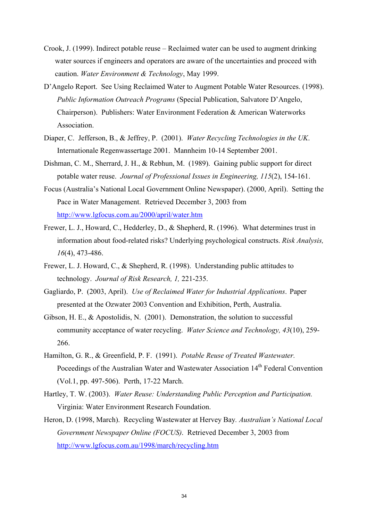- Crook, J. (1999). Indirect potable reuse Reclaimed water can be used to augment drinking water sources if engineers and operators are aware of the uncertainties and proceed with caution. *Water Environment & Technology*, May 1999.
- D'Angelo Report. See Using Reclaimed Water to Augment Potable Water Resources. (1998). *Public Information Outreach Programs* (Special Publication, Salvatore D'Angelo, Chairperson). Publishers: Water Environment Federation & American Waterworks Association.
- Diaper, C. Jefferson, B., & Jeffrey, P. (2001). *Water Recycling Technologies in the UK*. Internationale Regenwassertage 2001. Mannheim 10-14 September 2001.
- Dishman, C. M., Sherrard, J. H., & Rebhun, M. (1989). Gaining public support for direct potable water reuse. *Journal of Professional Issues in Engineering, 115*(2), 154-161.
- Focus (Australia's National Local Government Online Newspaper). (2000, April). Setting the Pace in Water Management. Retrieved December 3, 2003 from http://www.lgfocus.com.au/2000/april/water.htm
- Frewer, L. J., Howard, C., Hedderley, D., & Shepherd, R. (1996). What determines trust in information about food-related risks? Underlying psychological constructs. *Risk Analysis, 16*(4), 473-486.
- Frewer, L. J. Howard, C., & Shepherd, R. (1998). Understanding public attitudes to technology. *Journal of Risk Research, 1,* 221-235.
- Gagliardo, P. (2003, April). *Use of Reclaimed Water for Industrial Applications*. Paper presented at the Ozwater 2003 Convention and Exhibition, Perth, Australia.
- Gibson, H. E., & Apostolidis, N. (2001). Demonstration, the solution to successful community acceptance of water recycling. *Water Science and Technology, 43*(10), 259- 266.
- Hamilton, G. R., & Greenfield, P. F. (1991). *Potable Reuse of Treated Wastewater.*  Poceedings of the Australian Water and Wastewater Association 14<sup>th</sup> Federal Convention (Vol.1, pp. 497-506). Perth, 17-22 March.
- Hartley, T. W. (2003). *Water Reuse: Understanding Public Perception and Participation.*  Virginia: Water Environment Research Foundation.
- Heron, D. (1998, March). Recycling Wastewater at Hervey Bay*. Australian's National Local Government Newspaper Online (FOCUS)*. Retrieved December 3, 2003 from http://www.lgfocus.com.au/1998/march/recycling.htm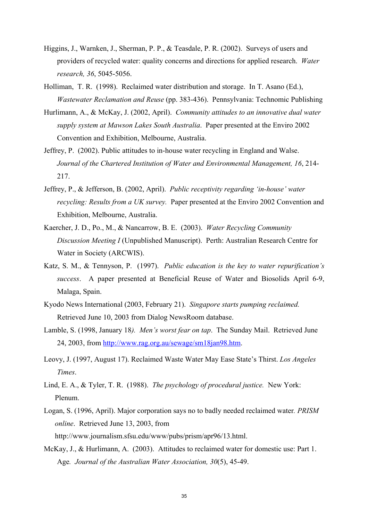- Higgins, J., Warnken, J., Sherman, P. P., & Teasdale, P. R. (2002). Surveys of users and providers of recycled water: quality concerns and directions for applied research. *Water research, 36*, 5045-5056.
- Holliman, T. R. (1998). Reclaimed water distribution and storage. In T. Asano (Ed.), *Wastewater Reclamation and Reuse* (pp. 383-436). Pennsylvania: Technomic Publishing
- Hurlimann, A., & McKay, J. (2002, April). *Community attitudes to an innovative dual water supply system at Mawson Lakes South Australia*. Paper presented at the Enviro 2002 Convention and Exhibition, Melbourne, Australia.
- Jeffrey, P. (2002). Public attitudes to in-house water recycling in England and Walse. *Journal of the Chartered Institution of Water and Environmental Management, 16*, 214- 217.
- Jeffrey, P., & Jefferson, B. (2002, April). *Public receptivity regarding 'in-house' water recycling: Results from a UK survey.* Paper presented at the Enviro 2002 Convention and Exhibition, Melbourne, Australia.
- Kaercher, J. D., Po., M., & Nancarrow, B. E. (2003). *Water Recycling Community Discussion Meeting I* (Unpublished Manuscript). Perth: Australian Research Centre for Water in Society (ARCWIS).
- Katz, S. M., & Tennyson, P. (1997). *Public education is the key to water repurification's success*. A paper presented at Beneficial Reuse of Water and Biosolids April 6-9, Malaga, Spain.
- Kyodo News International (2003, February 21). *Singapore starts pumping reclaimed.*  Retrieved June 10, 2003 from Dialog NewsRoom database.
- Lamble, S. (1998, January 18*). Men's worst fear on tap*. The Sunday Mail. Retrieved June 24, 2003, from http://www.rag.org.au/sewage/sm18jan98.htm.
- Leovy, J. (1997, August 17). Reclaimed Waste Water May Ease State's Thirst. *Los Angeles Times*.
- Lind, E. A., & Tyler, T. R. (1988). *The psychology of procedural justice.* New York: Plenum.
- Logan, S. (1996, April). Major corporation says no to badly needed reclaimed water*. PRISM online*. Retrieved June 13, 2003, from http://www.journalism.sfsu.edu/www/pubs/prism/apr96/13.html.
- McKay, J., & Hurlimann, A. (2003). Attitudes to reclaimed water for domestic use: Part 1. Age*. Journal of the Australian Water Association, 30*(5), 45-49.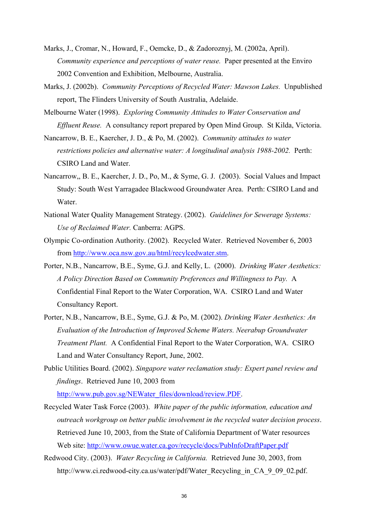- Marks, J., Cromar, N., Howard, F., Oemcke, D., & Zadoroznyj, M. (2002a, April). *Community experience and perceptions of water reuse.* Paper presented at the Enviro 2002 Convention and Exhibition, Melbourne, Australia.
- Marks, J. (2002b). *Community Perceptions of Recycled Water: Mawson Lakes.* Unpublished report, The Flinders University of South Australia, Adelaide.
- Melbourne Water (1998). *Exploring Community Attitudes to Water Conservation and Effluent Reuse.* A consultancy report prepared by Open Mind Group. St Kilda, Victoria.
- Nancarrow, B. E., Kaercher, J. D., & Po, M. (2002). *Community attitudes to water restrictions policies and alternative water: A longitudinal analysis 1988-2002.* Perth: CSIRO Land and Water.
- Nancarrow,, B. E., Kaercher, J. D., Po, M., & Syme, G. J. (2003). Social Values and Impact Study: South West Yarragadee Blackwood Groundwater Area. Perth: CSIRO Land and Water.
- National Water Quality Management Strategy. (2002). *Guidelines for Sewerage Systems: Use of Reclaimed Water.* Canberra: AGPS.
- Olympic Co-ordination Authority. (2002). Recycled Water. Retrieved November 6, 2003 from http://www.oca.nsw.gov.au/html/recylcedwater.stm.
- Porter, N.B., Nancarrow, B.E., Syme, G.J. and Kelly, L. (2000). *Drinking Water Aesthetics: A Policy Direction Based on Community Preferences and Willingness to Pay.* A Confidential Final Report to the Water Corporation, WA. CSIRO Land and Water Consultancy Report.
- Porter, N.B., Nancarrow, B.E., Syme, G.J. & Po, M. (2002). *Drinking Water Aesthetics: An Evaluation of the Introduction of Improved Scheme Waters. Neerabup Groundwater Treatment Plant.* A Confidential Final Report to the Water Corporation, WA. CSIRO Land and Water Consultancy Report, June, 2002.
- Public Utilities Board. (2002). *Singapore water reclamation study: Expert panel review and findings*. Retrieved June 10, 2003 from http://www.pub.gov.sg/NEWater\_files/download/review.PDF.
- Recycled Water Task Force (2003). *White paper of the public information, education and outreach workgroup on better public involvement in the recycled water decision process*. Retrieved June 10, 2003, from the State of California Department of Water resources Web site: http://www.owue.water.ca.gov/recycle/docs/PubInfoDraftPaper.pdf
- Redwood City. (2003). *Water Recycling in California.* Retrieved June 30, 2003, from http://www.ci.redwood-city.ca.us/water/pdf/Water\_Recycling\_in\_CA\_9\_09\_02.pdf.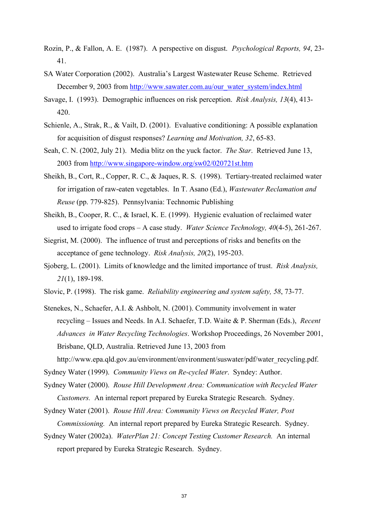- Rozin, P., & Fallon, A. E. (1987). A perspective on disgust. *Psychological Reports, 94*, 23- 41.
- SA Water Corporation (2002). Australia's Largest Wastewater Reuse Scheme. Retrieved December 9, 2003 from http://www.sawater.com.au/our\_water\_system/index.html
- Savage, I. (1993). Demographic influences on risk perception. *Risk Analysis, 13*(4), 413- 420.
- Schienle, A., Strak, R., & Vailt, D. (2001). Evaluative conditioning: A possible explanation for acquisition of disgust responses? *Learning and Motivation, 32*, 65-83.
- Seah, C. N. (2002, July 21). Media blitz on the yuck factor. *The Star*. Retrieved June 13, 2003 from http://www.singapore-window.org/sw02/020721st.htm
- Sheikh, B., Cort, R., Copper, R. C., & Jaques, R. S. (1998). Tertiary-treated reclaimed water for irrigation of raw-eaten vegetables. In T. Asano (Ed.), *Wastewater Reclamation and Reuse* (pp. 779-825). Pennsylvania: Technomic Publishing
- Sheikh, B., Cooper, R. C., & Israel, K. E. (1999). Hygienic evaluation of reclaimed water used to irrigate food crops – A case study. *Water Science Technology, 40*(4-5), 261-267.
- Siegrist, M. (2000). The influence of trust and perceptions of risks and benefits on the acceptance of gene technology. *Risk Analysis, 20*(2), 195-203.
- Sjoberg, L. (2001). Limits of knowledge and the limited importance of trust. *Risk Analysis, 21*(1), 189-198.
- Slovic, P. (1998). The risk game. *Reliability engineering and system safety, 58*, 73-77.
- Stenekes, N., Schaefer, A.I. & Ashbolt, N. (2001). Community involvement in water recycling – Issues and Needs. In A.I. Schaefer, T.D. Waite & P. Sherman (Eds.), *Recent Advances in Water Recycling Technologies*. Workshop Proceedings, 26 November 2001, Brisbane, QLD, Australia. Retrieved June 13, 2003 from

http://www.epa.qld.gov.au/environment/environment/suswater/pdf/water\_recycling.pdf.

Sydney Water (1999). *Community Views on Re-cycled Water*. Syndey: Author.

Sydney Water (2000). *Rouse Hill Development Area: Communication with Recycled Water Customers.* An internal report prepared by Eureka Strategic Research. Sydney.

Sydney Water (2001). *Rouse Hill Area: Community Views on Recycled Water, Post Commissioning.* An internal report prepared by Eureka Strategic Research. Sydney.

Sydney Water (2002a). *WaterPlan 21: Concept Testing Customer Research.* An internal report prepared by Eureka Strategic Research. Sydney.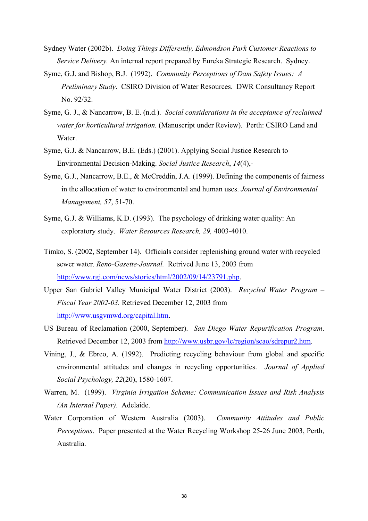- Sydney Water (2002b). *Doing Things Differently, Edmondson Park Customer Reactions to Service Delivery.* An internal report prepared by Eureka Strategic Research. Sydney.
- Syme, G.J. and Bishop, B.J. (1992). *Community Perceptions of Dam Safety Issues: A Preliminary Study*. CSIRO Division of Water Resources. DWR Consultancy Report No. 92/32.
- Syme, G. J., & Nancarrow, B. E. (n.d.). *Social considerations in the acceptance of reclaimed water for horticultural irrigation.* (Manuscript under Review). Perth: CSIRO Land and Water.
- Syme, G.J. & Nancarrow, B.E. (Eds.) (2001). Applying Social Justice Research to Environmental Decision-Making. *Social Justice Research*, *14*(4),-
- Syme, G.J., Nancarrow, B.E., & McCreddin, J.A. (1999). Defining the components of fairness in the allocation of water to environmental and human uses. *Journal of Environmental Management, 57*, 51-70.
- Syme, G.J. & Williams, K.D. (1993). The psychology of drinking water quality: An exploratory study. *Water Resources Research, 29,* 4003-4010.
- Timko, S. (2002, September 14). Officials consider replenishing ground water with recycled sewer water. *Reno-Gasette-Journal.* Retrived June 13, 2003 from http://www.rgj.com/news/stories/html/2002/09/14/23791.php.
- Upper San Gabriel Valley Municipal Water District (2003). *Recycled Water Program Fiscal Year 2002-03.* Retrieved December 12, 2003 from http://www.usgvmwd.org/capital.htm.
- US Bureau of Reclamation (2000, September). *San Diego Water Repurification Program*. Retrieved December 12, 2003 from http://www.usbr.gov/lc/region/scao/sdrepur2.htm.
- Vining, J., & Ebreo, A. (1992). Predicting recycling behaviour from global and specific environmental attitudes and changes in recycling opportunities. *Journal of Applied Social Psychology, 22*(20), 1580-1607.
- Warren, M. (1999). *Virginia Irrigation Scheme: Communication Issues and Risk Analysis (An Internal Paper)*. Adelaide.
- Water Corporation of Western Australia (2003). *Community Attitudes and Public Perceptions*. Paper presented at the Water Recycling Workshop 25-26 June 2003, Perth, Australia.